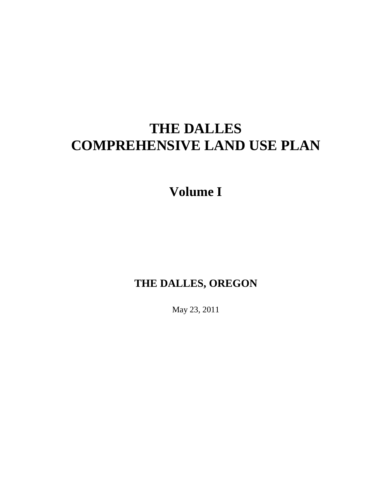# **THE DALLES COMPREHENSIVE LAND USE PLAN**

# **Volume I**

# **THE DALLES, OREGON**

May 23, 2011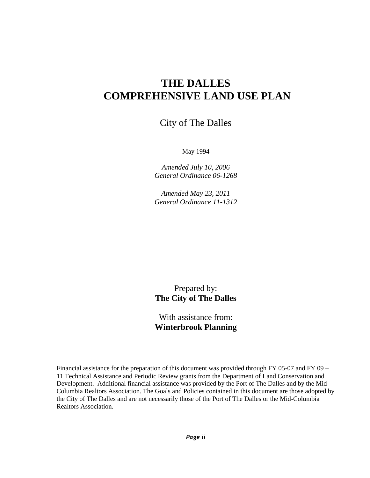## **THE DALLES COMPREHENSIVE LAND USE PLAN**

City of The Dalles

May 1994

*Amended July 10, 2006 General Ordinance 06-1268*

*Amended May 23, 2011 General Ordinance 11-1312*

Prepared by: **The City of The Dalles**

With assistance from: **Winterbrook Planning**

Financial assistance for the preparation of this document was provided through FY 05-07 and FY 09 – 11 Technical Assistance and Periodic Review grants from the Department of Land Conservation and Development. Additional financial assistance was provided by the Port of The Dalles and by the Mid-Columbia Realtors Association. The Goals and Policies contained in this document are those adopted by the City of The Dalles and are not necessarily those of the Port of The Dalles or the Mid-Columbia Realtors Association.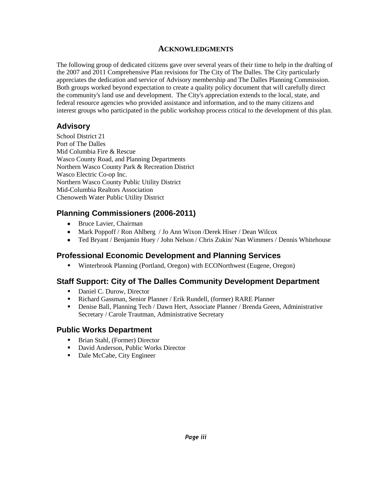#### **ACKNOWLEDGMENTS**

The following group of dedicated citizens gave over several years of their time to help in the drafting of the 2007 and 2011 Comprehensive Plan revisions for The City of The Dalles. The City particularly appreciates the dedication and service of Advisory membership and The Dalles Planning Commission. Both groups worked beyond expectation to create a quality policy document that will carefully direct the community's land use and development. The City's appreciation extends to the local, state, and federal resource agencies who provided assistance and information, and to the many citizens and interest groups who participated in the public workshop process critical to the development of this plan.

#### **Advisory**

School District 21 Port of The Dalles Mid Columbia Fire & Rescue Wasco County Road, and Planning Departments Northern Wasco County Park & Recreation District Wasco Electric Co-op Inc. Northern Wasco County Public Utility District Mid-Columbia Realtors Association Chenoweth Water Public Utility District

#### **Planning Commissioners (2006-2011)**

- Bruce Lavier, Chairman
- Mark Poppoff / Ron Ahlberg / Jo Ann Wixon /Derek Hiser / Dean Wilcox
- Ted Bryant / Benjamin Huey / John Nelson / Chris Zukin/ Nan Wimmers / Dennis Whitehouse

#### **Professional Economic Development and Planning Services**

Winterbrook Planning (Portland, Oregon) with ECONorthwest (Eugene, Oregon)

#### **Staff Support: City of The Dalles Community Development Department**

- Daniel C. Durow, Director
- Richard Gassman, Senior Planner / Erik Rundell, (former) RARE Planner
- Denise Ball, Planning Tech / Dawn Hert, Associate Planner / Brenda Green, Administrative Secretary / Carole Trautman, Administrative Secretary

#### **Public Works Department**

- Brian Stahl, (Former) Director
- David Anderson, Public Works Director
- Dale McCabe, City Engineer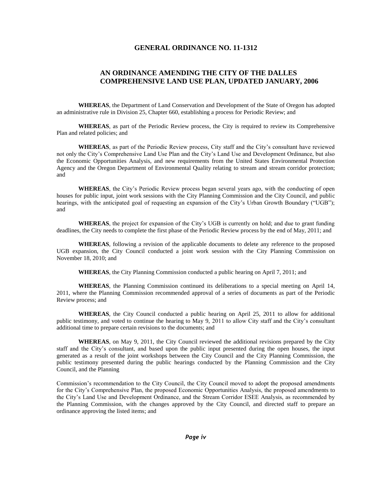#### **GENERAL ORDINANCE NO. 11-1312**

#### **AN ORDINANCE AMENDING THE CITY OF THE DALLES COMPREHENSIVE LAND USE PLAN, UPDATED JANUARY, 2006**

**WHEREAS**, the Department of Land Conservation and Development of the State of Oregon has adopted an administrative rule in Division 25, Chapter 660, establishing a process for Periodic Review; and

**WHEREAS**, as part of the Periodic Review process, the City is required to review its Comprehensive Plan and related policies; and

**WHEREAS**, as part of the Periodic Review process, City staff and the City's consultant have reviewed not only the City's Comprehensive Land Use Plan and the City's Land Use and Development Ordinance, but also the Economic Opportunities Analysis, and new requirements from the United States Environmental Protection Agency and the Oregon Department of Environmental Quality relating to stream and stream corridor protection; and

**WHEREAS**, the City's Periodic Review process began several years ago, with the conducting of open houses for public input, joint work sessions with the City Planning Commission and the City Council, and public hearings, with the anticipated goal of requesting an expansion of the City's Urban Growth Boundary ("UGB"); and

**WHEREAS**, the project for expansion of the City's UGB is currently on hold; and due to grant funding deadlines, the City needs to complete the first phase of the Periodic Review process by the end of May, 2011; and

**WHEREAS**, following a revision of the applicable documents to delete any reference to the proposed UGB expansion, the City Council conducted a joint work session with the City Planning Commission on November 18, 2010; and

**WHEREAS**, the City Planning Commission conducted a public hearing on April 7, 2011; and

**WHEREAS**, the Planning Commission continued its deliberations to a special meeting on April 14, 2011, where the Planning Commission recommended approval of a series of documents as part of the Periodic Review process; and

**WHEREAS**, the City Council conducted a public hearing on April 25, 2011 to allow for additional public testimony, and voted to continue the hearing to May 9, 2011 to allow City staff and the City's consultant additional time to prepare certain revisions to the documents; and

**WHEREAS**, on May 9, 2011, the City Council reviewed the additional revisions prepared by the City staff and the City's consultant, and based upon the public input presented during the open houses, the input generated as a result of the joint workshops between the City Council and the City Planning Commission, the public testimony presented during the public hearings conducted by the Planning Commission and the City Council, and the Planning

Commission's recommendation to the City Council, the City Council moved to adopt the proposed amendments for the City's Comprehensive Plan, the proposed Economic Opportunities Analysis, the proposed amendments to the City's Land Use and Development Ordinance, and the Stream Corridor ESEE Analysis, as recommended by the Planning Commission, with the changes approved by the City Council, and directed staff to prepare an ordinance approving the listed items; and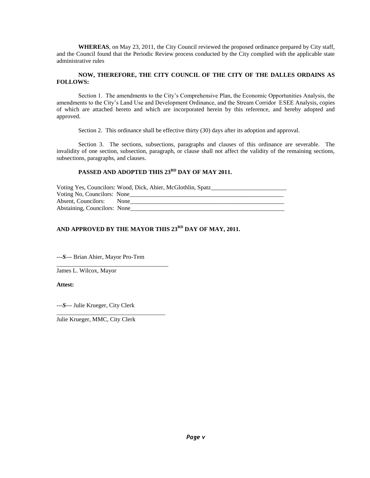**WHEREAS**, on May 23, 2011, the City Council reviewed the proposed ordinance prepared by City staff, and the Council found that the Periodic Review process conducted by the City complied with the applicable state administrative rules

#### **NOW, THEREFORE, THE CITY COUNCIL OF THE CITY OF THE DALLES ORDAINS AS FOLLOWS:**

Section 1. The amendments to the City's Comprehensive Plan, the Economic Opportunities Analysis, the amendments to the City's Land Use and Development Ordinance, and the Stream Corridor ESEE Analysis, copies of which are attached hereto and which are incorporated herein by this reference, and hereby adopted and approved.

Section 2. This ordinance shall be effective thirty (30) days after its adoption and approval.

Section 3. The sections, subsections, paragraphs and clauses of this ordinance are severable. The invalidity of one section, subsection, paragraph, or clause shall not affect the validity of the remaining sections, subsections, paragraphs, and clauses.

#### **PASSED AND ADOPTED THIS 23RD DAY OF MAY 2011.**

| Voting Yes, Councilors: Wood, Dick, Ahier, McGlothlin, Spatz_ |  |  |  |  |  |
|---------------------------------------------------------------|--|--|--|--|--|
| Voting No, Councilors: None                                   |  |  |  |  |  |
| Absent, Councilors: None                                      |  |  |  |  |  |
| Abstaining, Councilors: None                                  |  |  |  |  |  |

#### **AND APPROVED BY THE MAYOR THIS 23RD DAY OF MAY, 2011.**

---*S*--- Brian Ahier, Mayor Pro-Tem

\_\_\_\_\_\_\_\_\_\_\_\_\_\_\_\_\_\_\_\_\_\_\_\_\_\_\_\_\_\_\_\_\_\_\_\_\_

\_\_\_\_\_\_\_\_\_\_\_\_\_\_\_\_\_\_\_\_\_\_\_\_\_\_\_\_\_\_\_\_\_\_\_\_

James L. Wilcox, Mayor

**Attest:**

---*S*--- Julie Krueger, City Clerk

Julie Krueger, MMC, City Clerk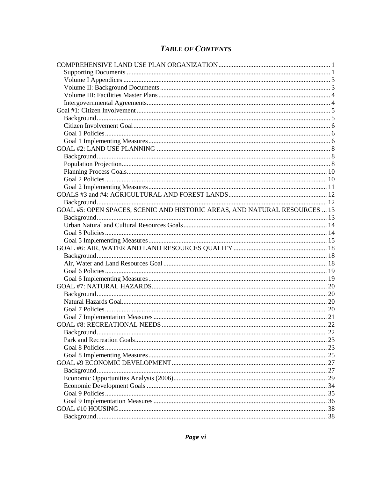### **TABLE OF CONTENTS**

| GOAL #5: OPEN SPACES, SCENIC AND HISTORIC AREAS, AND NATURAL RESOURCES  13 |  |
|----------------------------------------------------------------------------|--|
|                                                                            |  |
|                                                                            |  |
|                                                                            |  |
|                                                                            |  |
|                                                                            |  |
|                                                                            |  |
|                                                                            |  |
|                                                                            |  |
|                                                                            |  |
|                                                                            |  |
|                                                                            |  |
|                                                                            |  |
|                                                                            |  |
|                                                                            |  |
|                                                                            |  |
|                                                                            |  |
|                                                                            |  |
|                                                                            |  |
|                                                                            |  |
|                                                                            |  |
|                                                                            |  |
|                                                                            |  |
|                                                                            |  |
|                                                                            |  |
|                                                                            |  |
|                                                                            |  |
|                                                                            |  |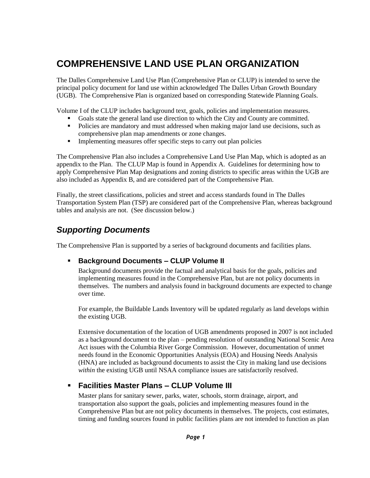# <span id="page-7-0"></span>**COMPREHENSIVE LAND USE PLAN ORGANIZATION**

The Dalles Comprehensive Land Use Plan (Comprehensive Plan or CLUP) is intended to serve the principal policy document for land use within acknowledged The Dalles Urban Growth Boundary (UGB). The Comprehensive Plan is organized based on corresponding Statewide Planning Goals.

Volume I of the CLUP includes background text, goals, policies and implementation measures.

- Goals state the general land use direction to which the City and County are committed.
- Policies are mandatory and must addressed when making major land use decisions, such as comprehensive plan map amendments or zone changes.
- Implementing measures offer specific steps to carry out plan policies

The Comprehensive Plan also includes a Comprehensive Land Use Plan Map, which is adopted as an appendix to the Plan. The CLUP Map is found in Appendix A. Guidelines for determining how to apply Comprehensive Plan Map designations and zoning districts to specific areas within the UGB are also included as Appendix B, and are considered part of the Comprehensive Plan.

Finally, the street classifications, policies and street and access standards found in The Dalles Transportation System Plan (TSP) are considered part of the Comprehensive Plan, whereas background tables and analysis are not. (See discussion below.)

### <span id="page-7-1"></span>*Supporting Documents*

The Comprehensive Plan is supported by a series of background documents and facilities plans.

#### **Background Documents – CLUP Volume II**

Background documents provide the factual and analytical basis for the goals, policies and implementing measures found in the Comprehensive Plan, but are not policy documents in themselves. The numbers and analysis found in background documents are expected to change over time.

For example, the Buildable Lands Inventory will be updated regularly as land develops within the existing UGB.

Extensive documentation of the location of UGB amendments proposed in 2007 is not included as a background document to the plan – pending resolution of outstanding National Scenic Area Act issues with the Columbia River Gorge Commission. However, documentation of unmet needs found in the Economic Opportunities Analysis (EOA) and Housing Needs Analysis (HNA) are included as background documents to assist the City in making land use decisions *within* the existing UGB until NSAA compliance issues are satisfactorily resolved.

#### **Facilities Master Plans – CLUP Volume III**

Master plans for sanitary sewer, parks, water, schools, storm drainage, airport, and transportation also support the goals, policies and implementing measures found in the Comprehensive Plan but are not policy documents in themselves. The projects, cost estimates, timing and funding sources found in public facilities plans are not intended to function as plan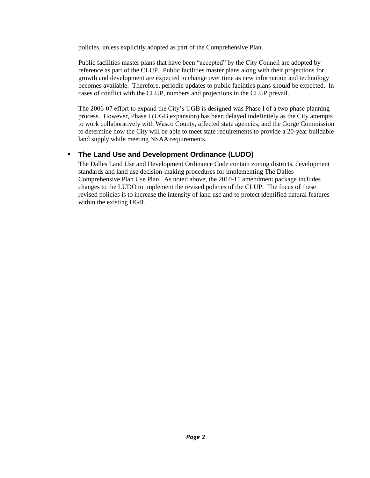policies, unless explicitly adopted as part of the Comprehensive Plan.

Public facilities master plans that have been "accepted" by the City Council are adopted by reference as part of the CLUP. Public facilities master plans along with their projections for growth and development are expected to change over time as new information and technology becomes available. Therefore, periodic updates to public facilities plans should be expected. In cases of conflict with the CLUP, numbers and projections in the CLUP prevail.

The 2006-07 effort to expand the City's UGB is designed was Phase I of a two phase planning process. However, Phase I (UGB expansion) has been delayed indefinitely as the City attempts to work collaboratively with Wasco County, affected state agencies, and the Gorge Commission to determine how the City will be able to meet state requirements to provide a 20-year buildable land supply while meeting NSAA requirements.

#### **The Land Use and Development Ordinance (LUDO)**

The Dalles Land Use and Development Ordinance Code contain zoning districts, development standards and land use decision-making procedures for implementing The Dalles Comprehensive Plan Use Plan. As noted above, the 2010-11 amendment package includes changes to the LUDO to implement the revised policies of the CLUP. The focus of these revised policies is to increase the intensity of land use and to protect identified natural features within the existing UGB.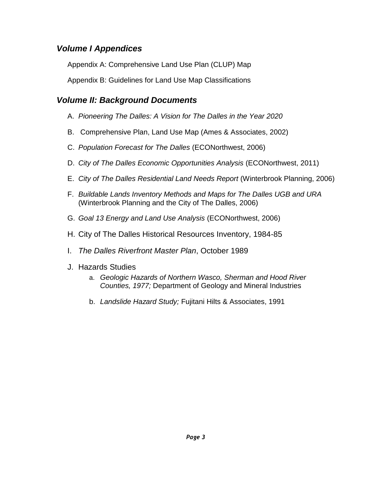### <span id="page-9-0"></span>*Volume I Appendices*

Appendix A: Comprehensive Land Use Plan (CLUP) Map

Appendix B: Guidelines for Land Use Map Classifications

### <span id="page-9-1"></span>*Volume II: Background Documents*

- A. *Pioneering The Dalles: A Vision for The Dalles in the Year 2020*
- B. Comprehensive Plan, Land Use Map (Ames & Associates, 2002)
- C. *Population Forecast for The Dalles* (ECONorthwest, 2006)
- D. *City of The Dalles Economic Opportunities Analysis* (ECONorthwest, 2011)
- E. *City of The Dalles Residential Land Needs Report* (Winterbrook Planning, 2006)
- F. *Buildable Lands Inventory Methods and Maps for The Dalles UGB and URA* (Winterbrook Planning and the City of The Dalles, 2006)
- G. *Goal 13 Energy and Land Use Analysis* (ECONorthwest, 2006)
- H. City of The Dalles Historical Resources Inventory, 1984-85
- I. *The Dalles Riverfront Master Plan*, October 1989
- J. Hazards Studies
	- a. *Geologic Hazards of Northern Wasco, Sherman and Hood River Counties, 1977;* Department of Geology and Mineral Industries
	- b. *Landslide Hazard Study;* Fujitani Hilts & Associates, 1991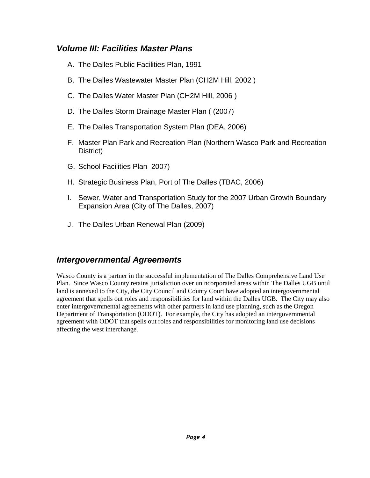#### <span id="page-10-0"></span>*Volume III: Facilities Master Plans*

- A. The Dalles Public Facilities Plan, 1991
- B. The Dalles Wastewater Master Plan (CH2M Hill, 2002 )
- C. The Dalles Water Master Plan (CH2M Hill, 2006 )
- D. The Dalles Storm Drainage Master Plan ( (2007)
- E. The Dalles Transportation System Plan (DEA, 2006)
- F. Master Plan Park and Recreation Plan (Northern Wasco Park and Recreation District)
- G. School Facilities Plan 2007)
- H. Strategic Business Plan, Port of The Dalles (TBAC, 2006)
- I. Sewer, Water and Transportation Study for the 2007 Urban Growth Boundary Expansion Area (City of The Dalles, 2007)
- J. The Dalles Urban Renewal Plan (2009)

### <span id="page-10-1"></span>*Intergovernmental Agreements*

Wasco County is a partner in the successful implementation of The Dalles Comprehensive Land Use Plan. Since Wasco County retains jurisdiction over unincorporated areas within The Dalles UGB until land is annexed to the City, the City Council and County Court have adopted an intergovernmental agreement that spells out roles and responsibilities for land within the Dalles UGB. The City may also enter intergovernmental agreements with other partners in land use planning, such as the Oregon Department of Transportation (ODOT). For example, the City has adopted an intergovernmental agreement with ODOT that spells out roles and responsibilities for monitoring land use decisions affecting the west interchange.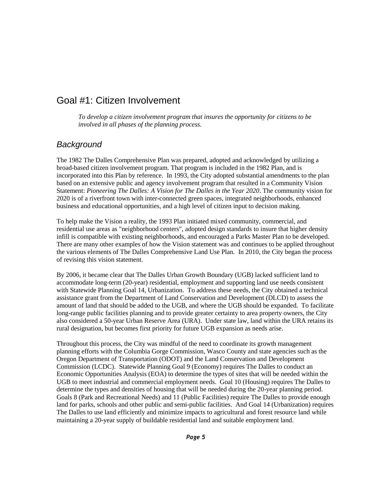## <span id="page-11-0"></span>Goal #1: Citizen Involvement

*To develop a citizen involvement program that insures the opportunity for citizens to be involved in all phases of the planning process.*

#### <span id="page-11-1"></span>*Background*

The 1982 The Dalles Comprehensive Plan was prepared, adopted and acknowledged by utilizing a broad-based citizen involvement program. That program is included in the 1982 Plan, and is incorporated into this Plan by reference. In 1993, the City adopted substantial amendments to the plan based on an extensive public and agency involvement program that resulted in a Community Vision Statement: *Pioneering The Dalles: A Vision for The Dalles in the Year 2020*. The community vision for 2020 is of a riverfront town with inter-connected green spaces, integrated neighborhoods, enhanced business and educational opportunities, and a high level of citizen input to decision making.

To help make the Vision a reality, the 1993 Plan initiated mixed community, commercial, and residential use areas as "neighborhood centers", adopted design standards to insure that higher density infill is compatible with existing neighborhoods, and encouraged a Parks Master Plan to be developed. There are many other examples of how the Vision statement was and continues to be applied throughout the various elements of The Dalles Comprehensive Land Use Plan. In 2010, the City began the process of revising this vision statement.

By 2006, it became clear that The Dalles Urban Growth Boundary (UGB) lacked sufficient land to accommodate long-term (20-year) residential, employment and supporting land use needs consistent with Statewide Planning Goal 14, Urbanization. To address these needs, the City obtained a technical assistance grant from the Department of Land Conservation and Development (DLCD) to assess the amount of land that should be added to the UGB, and where the UGB should be expanded. To facilitate long-range public facilities planning and to provide greater certainty to area property owners, the City also considered a 50-year Urban Reserve Area (URA). Under state law, land within the URA retains its rural designation, but becomes first priority for future UGB expansion as needs arise.

Throughout this process, the City was mindful of the need to coordinate its growth management planning efforts with the Columbia Gorge Commission, Wasco County and state agencies such as the Oregon Department of Transportation (ODOT) and the Land Conservation and Development Commission (LCDC). Statewide Planning Goal 9 (Economy) requires The Dalles to conduct an Economic Opportunities Analysis (EOA) to determine the types of sites that will be needed within the UGB to meet industrial and commercial employment needs. Goal 10 (Housing) requires The Dalles to determine the types and densities of housing that will be needed during the 20-year planning period. Goals 8 (Park and Recreational Needs) and 11 (Public Facilities) require The Dalles to provide enough land for parks, schools and other public and semi-public facilities. And Goal 14 (Urbanization) requires The Dalles to use land efficiently and minimize impacts to agricultural and forest resource land while maintaining a 20-year supply of buildable residential land and suitable employment land.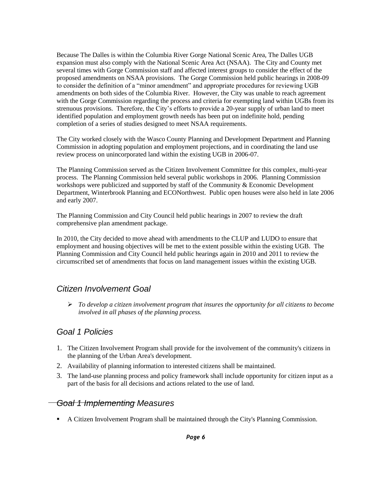Because The Dalles is within the Columbia River Gorge National Scenic Area, The Dalles UGB expansion must also comply with the National Scenic Area Act (NSAA). The City and County met several times with Gorge Commission staff and affected interest groups to consider the effect of the proposed amendments on NSAA provisions. The Gorge Commission held public hearings in 2008-09 to consider the definition of a "minor amendment" and appropriate procedures for reviewing UGB amendments on both sides of the Columbia River. However, the City was unable to reach agreement with the Gorge Commission regarding the process and criteria for exempting land within UGBs from its strenuous provisions. Therefore, the City's efforts to provide a 20-year supply of urban land to meet identified population and employment growth needs has been put on indefinite hold, pending completion of a series of studies designed to meet NSAA requirements.

The City worked closely with the Wasco County Planning and Development Department and Planning Commission in adopting population and employment projections, and in coordinating the land use review process on unincorporated land within the existing UGB in 2006-07.

The Planning Commission served as the Citizen Involvement Committee for this complex, multi-year process. The Planning Commission held several public workshops in 2006. Planning Commission workshops were publicized and supported by staff of the Community & Economic Development Department, Winterbrook Planning and ECONorthwest. Public open houses were also held in late 2006 and early 2007.

The Planning Commission and City Council held public hearings in 2007 to review the draft comprehensive plan amendment package.

In 2010, the City decided to move ahead with amendments to the CLUP and LUDO to ensure that employment and housing objectives will be met to the extent possible within the existing UGB. The Planning Commission and City Council held public hearings again in 2010 and 2011 to review the circumscribed set of amendments that focus on land management issues within the existing UGB.

#### <span id="page-12-0"></span>*Citizen Involvement Goal*

 *To develop a citizen involvement program that insures the opportunity for all citizens to become involved in all phases of the planning process.*

### <span id="page-12-1"></span>*Goal 1 Policies*

- 1. The Citizen Involvement Program shall provide for the involvement of the community's citizens in the planning of the Urban Area's development.
- 2. Availability of planning information to interested citizens shall be maintained.
- 3. The land-use planning process and policy framework shall include opportunity for citizen input as a part of the basis for all decisions and actions related to the use of land.

#### <span id="page-12-2"></span>*Goal 1 Implementing Measures*

A Citizen Involvement Program shall be maintained through the City's Planning Commission.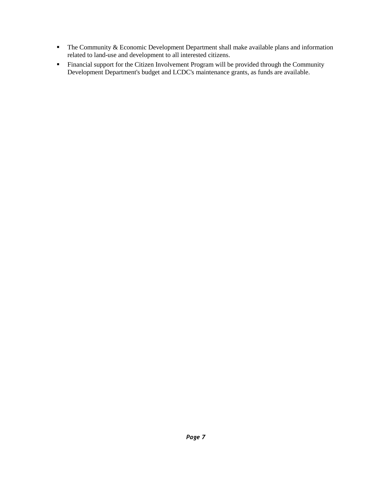- The Community & Economic Development Department shall make available plans and information related to land-use and development to all interested citizens.
- Financial support for the Citizen Involvement Program will be provided through the Community Development Department's budget and LCDC's maintenance grants, as funds are available.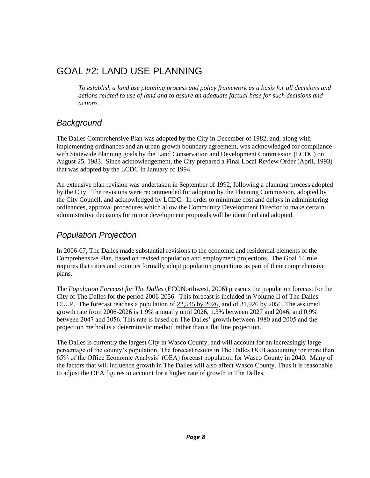## <span id="page-14-0"></span>GOAL #2: LAND USE PLANNING

*To establish a land use planning process and policy framework as a basis for all decisions and actions related to use of land and to assure an adequate factual base for such decisions and actions.*

### <span id="page-14-1"></span>*Background*

The Dalles Comprehensive Plan was adopted by the City in December of 1982, and, along with implementing ordinances and an urban growth boundary agreement, was acknowledged for compliance with Statewide Planning goals by the Land Conservation and Development Commission (LCDC) on August 25, 1983. Since acknowledgement, the City prepared a Final Local Review Order (April, 1993) that was adopted by the LCDC in January of 1994.

An extensive plan revision was undertaken in September of 1992, following a planning process adopted by the City. The revisions were recommended for adoption by the Planning Commission, adopted by the City Council, and acknowledged by LCDC. In order to minimize cost and delays in administering ordinances, approval procedures which allow the Community Development Director to make certain administrative decisions for minor development proposals will be identified and adopted.

### <span id="page-14-2"></span>*Population Projection*

In 2006-07, The Dalles made substantial revisions to the economic and residential elements of the Comprehensive Plan, based on revised population and employment projections. The Goal 14 rule requires that cities and counties formally adopt population projections as part of their comprehensive plans.

The *Population Forecast for The Dalles* (ECONorthwest, 2006) presents the population forecast for the City of The Dalles for the period 2006-2056. This forecast is included in Volume II of The Dalles CLUP. The forecast reaches a population of 22,545 by 2026, and of 31,926 by 2056. The assumed growth rate from 2006-2026 is 1.9% annually until 2026, 1.3% between 2027 and 2046, and 0.9% between 2047 and 2056. This rate is based on The Dalles' growth between 1980 and 2005 and the projection method is a deterministic method rather than a flat line projection.

The Dalles is currently the largest City in Wasco County, and will account for an increasingly large percentage of the county's population. The forecast results in The Dalles UGB accounting for more than 65% of the Office Economic Analysis' (OEA) forecast population for Wasco County in 2040. Many of the factors that will influence growth in The Dalles will also affect Wasco County. Thus it is reasonable to adjust the OEA figures to account for a higher rate of growth in The Dalles.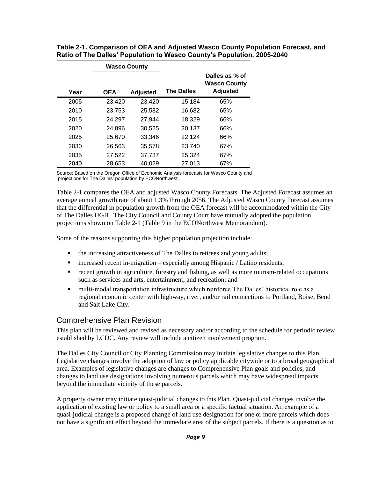| <b>Wasco County</b> |            |                 |                   |                                                          |
|---------------------|------------|-----------------|-------------------|----------------------------------------------------------|
| Year                | <b>OEA</b> | <b>Adjusted</b> | <b>The Dalles</b> | Dalles as % of<br><b>Wasco County</b><br><b>Adjusted</b> |
| 2005                | 23.420     | 23,420          | 15,184            | 65%                                                      |
| 2010                | 23,753     | 25,582          | 16.682            | 65%                                                      |
| 2015                | 24,297     | 27.944          | 18.329            | 66%                                                      |
| 2020                | 24.896     | 30.525          | 20.137            | 66%                                                      |
| 2025                | 25.670     | 33.346          | 22.124            | 66%                                                      |
| 2030                | 26,563     | 35,578          | 23,740            | 67%                                                      |
| 2035                | 27,522     | 37,737          | 25,324            | 67%                                                      |
| 2040                | 28,653     | 40,029          | 27,013            | 67%                                                      |

**Table 2-1. Comparison of OEA and Adjusted Wasco County Population Forecast, and Ratio of The Dalles' Population to Wasco County's Population, 2005-2040**

Source: Based on the Oregon Office of Economic Analysis forecasts for Wasco County and projections for The Dalles' population by ECONorthwest.

Table 2-1 compares the OEA and adjusted Wasco County Forecasts. The Adjusted Forecast assumes an average annual growth rate of about 1.3% through 2056. The Adjusted Wasco County Forecast assumes that the differential in population growth from the OEA forecast will be accommodated within the City of The Dalles UGB. The City Council and County Court have mutually adopted the population projections shown on Table 2-1 (Table 9 in the ECONorthwest Memorandum).

Some of the reasons supporting this higher population projection include:

- the increasing attractiveness of The Dalles to retirees and young adults;
- $\blacksquare$  increased recent in-migration especially among Hispanic / Latino residents;
- recent growth in agriculture, forestry and fishing, as well as more tourism-related occupations such as services and arts, entertainment, and recreation; and
- multi-modal transportation infrastructure which reinforce The Dalles' historical role as a regional economic center with highway, river, and/or rail connections to Portland, Boise, Bend and Salt Lake City.

#### Comprehensive Plan Revision

This plan will be reviewed and revised as necessary and/or according to the schedule for periodic review established by LCDC. Any review will include a citizen involvement program.

The Dalles City Council or City Planning Commission may initiate legislative changes to this Plan. Legislative changes involve the adoption of law or policy applicable citywide or to a broad geographical area. Examples of legislative changes are changes to Comprehensive Plan goals and policies, and changes to land use designations involving numerous parcels which may have widespread impacts beyond the immediate vicinity of these parcels.

A property owner may initiate quasi-judicial changes to this Plan. Quasi-judicial changes involve the application of existing law or policy to a small area or a specific factual situation. An example of a quasi-judicial change is a proposed change of land use designation for one or more parcels which does not have a significant effect beyond the immediate area of the subject parcels. If there is a question as to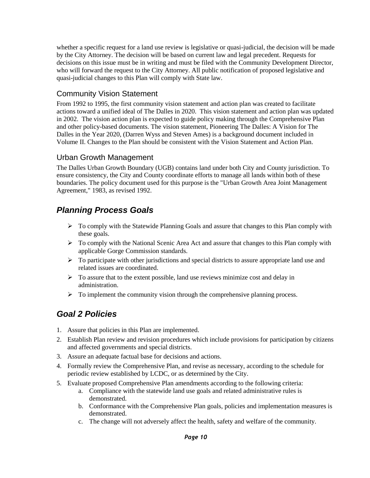whether a specific request for a land use review is legislative or quasi-judicial, the decision will be made by the City Attorney. The decision will be based on current law and legal precedent. Requests for decisions on this issue must be in writing and must be filed with the Community Development Director, who will forward the request to the City Attorney. All public notification of proposed legislative and quasi-judicial changes to this Plan will comply with State law.

#### Community Vision Statement

From 1992 to 1995, the first community vision statement and action plan was created to facilitate actions toward a unified ideal of The Dalles in 2020. This vision statement and action plan was updated in 2002. The vision action plan is expected to guide policy making through the Comprehensive Plan and other policy-based documents. The vision statement, Pioneering The Dalles: A Vision for The Dalles in the Year 2020, (Darren Wyss and Steven Ames) is a background document included in Volume II. Changes to the Plan should be consistent with the Vision Statement and Action Plan.

#### Urban Growth Management

The Dalles Urban Growth Boundary (UGB) contains land under both City and County jurisdiction. To ensure consistency, the City and County coordinate efforts to manage all lands within both of these boundaries. The policy document used for this purpose is the "Urban Growth Area Joint Management Agreement," 1983, as revised 1992.

### <span id="page-16-0"></span>*Planning Process Goals*

- $\triangleright$  To comply with the Statewide Planning Goals and assure that changes to this Plan comply with these goals.
- $\triangleright$  To comply with the National Scenic Area Act and assure that changes to this Plan comply with applicable Gorge Commission standards.
- $\triangleright$  To participate with other jurisdictions and special districts to assure appropriate land use and related issues are coordinated.
- $\triangleright$  To assure that to the extent possible, land use reviews minimize cost and delay in administration.
- $\triangleright$  To implement the community vision through the comprehensive planning process.

### <span id="page-16-1"></span>*Goal 2 Policies*

- 1. Assure that policies in this Plan are implemented.
- 2. Establish Plan review and revision procedures which include provisions for participation by citizens and affected governments and special districts.
- 3. Assure an adequate factual base for decisions and actions.
- 4. Formally review the Comprehensive Plan, and revise as necessary, according to the schedule for periodic review established by LCDC, or as determined by the City.
- 5. Evaluate proposed Comprehensive Plan amendments according to the following criteria:
	- a. Compliance with the statewide land use goals and related administrative rules is demonstrated.
	- b. Conformance with the Comprehensive Plan goals, policies and implementation measures is demonstrated.
	- c. The change will not adversely affect the health, safety and welfare of the community.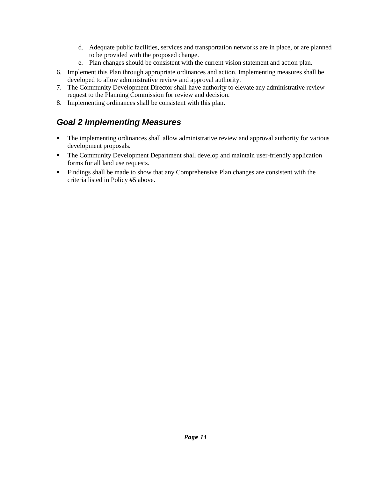- d. Adequate public facilities, services and transportation networks are in place, or are planned to be provided with the proposed change.
- e. Plan changes should be consistent with the current vision statement and action plan.
- 6. Implement this Plan through appropriate ordinances and action. Implementing measures shall be developed to allow administrative review and approval authority.
- 7. The Community Development Director shall have authority to elevate any administrative review request to the Planning Commission for review and decision.
- <span id="page-17-0"></span>8. Implementing ordinances shall be consistent with this plan.

### *Goal 2 Implementing Measures*

- The implementing ordinances shall allow administrative review and approval authority for various development proposals.
- The Community Development Department shall develop and maintain user-friendly application forms for all land use requests.
- Findings shall be made to show that any Comprehensive Plan changes are consistent with the criteria listed in Policy #5 above.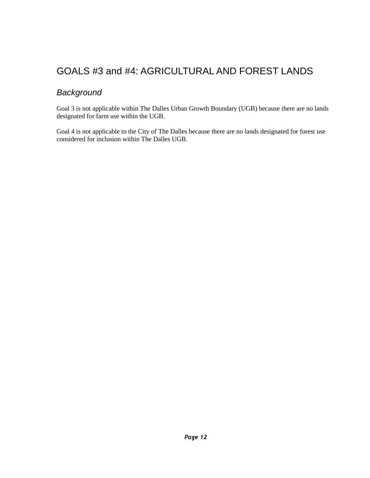# <span id="page-18-0"></span>GOALS #3 and #4: AGRICULTURAL AND FOREST LANDS

### <span id="page-18-1"></span>*Background*

Goal 3 is not applicable within The Dalles Urban Growth Boundary (UGB) because there are no lands designated for farm use within the UGB.

Goal 4 is not applicable to the City of The Dalles because there are no lands designated for forest use considered for inclusion within The Dalles UGB.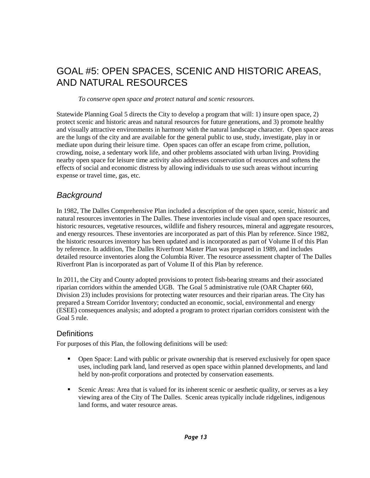# <span id="page-19-0"></span>GOAL #5: OPEN SPACES, SCENIC AND HISTORIC AREAS, AND NATURAL RESOURCES

*To conserve open space and protect natural and scenic resources.*

Statewide Planning Goal 5 directs the City to develop a program that will: 1) insure open space, 2) protect scenic and historic areas and natural resources for future generations, and 3) promote healthy and visually attractive environments in harmony with the natural landscape character. Open space areas are the lungs of the city and are available for the general public to use, study, investigate, play in or mediate upon during their leisure time. Open spaces can offer an escape from crime, pollution, crowding, noise, a sedentary work life, and other problems associated with urban living. Providing nearby open space for leisure time activity also addresses conservation of resources and softens the effects of social and economic distress by allowing individuals to use such areas without incurring expense or travel time, gas, etc.

#### <span id="page-19-1"></span>*Background*

In 1982, The Dalles Comprehensive Plan included a description of the open space, scenic, historic and natural resources inventories in The Dalles. These inventories include visual and open space resources, historic resources, vegetative resources, wildlife and fishery resources, mineral and aggregate resources, and energy resources. These inventories are incorporated as part of this Plan by reference. Since 1982, the historic resources inventory has been updated and is incorporated as part of Volume II of this Plan by reference. In addition, The Dalles Riverfront Master Plan was prepared in 1989, and includes detailed resource inventories along the Columbia River. The resource assessment chapter of The Dalles Riverfront Plan is incorporated as part of Volume II of this Plan by reference.

In 2011, the City and County adopted provisions to protect fish-bearing streams and their associated riparian corridors within the amended UGB. The Goal 5 administrative rule (OAR Chapter 660, Division 23) includes provisions for protecting water resources and their riparian areas. The City has prepared a Stream Corridor Inventory; conducted an economic, social, environmental and energy (ESEE) consequences analysis; and adopted a program to protect riparian corridors consistent with the Goal 5 rule.

#### **Definitions**

For purposes of this Plan, the following definitions will be used:

- **•** Open Space: Land with public or private ownership that is reserved exclusively for open space uses, including park land, land reserved as open space within planned developments, and land held by non-profit corporations and protected by conservation easements.
- Scenic Areas: Area that is valued for its inherent scenic or aesthetic quality, or serves as a key viewing area of the City of The Dalles. Scenic areas typically include ridgelines, indigenous land forms, and water resource areas.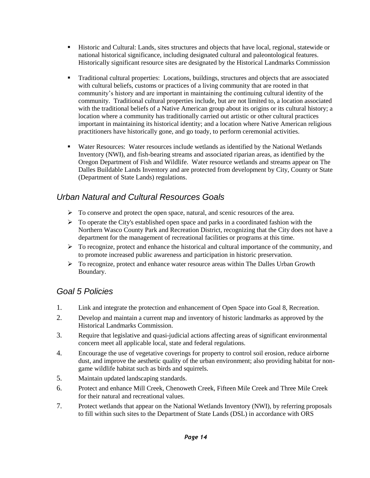- Historic and Cultural: Lands, sites structures and objects that have local, regional, statewide or national historical significance, including designated cultural and paleontological features. Historically significant resource sites are designated by the Historical Landmarks Commission
- Traditional cultural properties: Locations, buildings, structures and objects that are associated with cultural beliefs, customs or practices of a living community that are rooted in that community's history and are important in maintaining the continuing cultural identity of the community. Traditional cultural properties include, but are not limited to, a location associated with the traditional beliefs of a Native American group about its origins or its cultural history; a location where a community has traditionally carried out artistic or other cultural practices important in maintaining its historical identity; and a location where Native American religious practitioners have historically gone, and go toady, to perform ceremonial activities.
- Water Resources: Water resources include wetlands as identified by the National Wetlands Inventory (NWI), and fish-bearing streams and associated riparian areas, as identified by the Oregon Department of Fish and Wildlife. Water resource wetlands and streams appear on The Dalles Buildable Lands Inventory and are protected from development by City, County or State (Department of State Lands) regulations.

### <span id="page-20-0"></span>*Urban Natural and Cultural Resources Goals*

- $\triangleright$  To conserve and protect the open space, natural, and scenic resources of the area.
- $\triangleright$  To operate the City's established open space and parks in a coordinated fashion with the Northern Wasco County Park and Recreation District, recognizing that the City does not have a department for the management of recreational facilities or programs at this time.
- $\triangleright$  To recognize, protect and enhance the historical and cultural importance of the community, and to promote increased public awareness and participation in historic preservation.
- $\triangleright$  To recognize, protect and enhance water resource areas within The Dalles Urban Growth Boundary.

### <span id="page-20-1"></span>*Goal 5 Policies*

- 1. Link and integrate the protection and enhancement of Open Space into Goal 8, Recreation.
- 2. Develop and maintain a current map and inventory of historic landmarks as approved by the Historical Landmarks Commission.
- 3. Require that legislative and quasi-judicial actions affecting areas of significant environmental concern meet all applicable local, state and federal regulations.
- 4. Encourage the use of vegetative coverings for property to control soil erosion, reduce airborne dust, and improve the aesthetic quality of the urban environment; also providing habitat for nongame wildlife habitat such as birds and squirrels.
- 5. Maintain updated landscaping standards.
- 6. Protect and enhance Mill Creek, Chenoweth Creek, Fifteen Mile Creek and Three Mile Creek for their natural and recreational values.
- 7. Protect wetlands that appear on the National Wetlands Inventory (NWI), by referring proposals to fill within such sites to the Department of State Lands (DSL) in accordance with ORS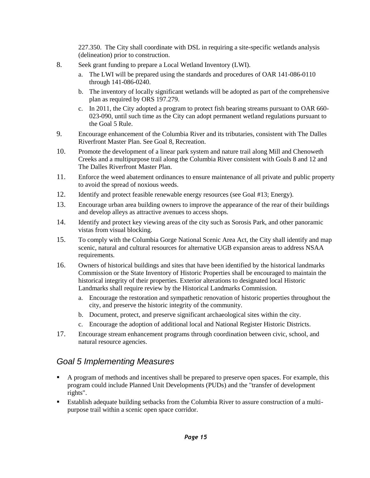227.350. The City shall coordinate with DSL in requiring a site-specific wetlands analysis (delineation) prior to construction.

- 8. Seek grant funding to prepare a Local Wetland Inventory (LWI).
	- a. The LWI will be prepared using the standards and procedures of OAR 141-086-0110 through 141-086-0240.
	- b. The inventory of locally significant wetlands will be adopted as part of the comprehensive plan as required by ORS 197.279.
	- c. In 2011, the City adopted a program to protect fish bearing streams pursuant to OAR 660- 023-090, until such time as the City can adopt permanent wetland regulations pursuant to the Goal 5 Rule.
- 9. Encourage enhancement of the Columbia River and its tributaries, consistent with The Dalles Riverfront Master Plan. See Goal 8, Recreation.
- 10. Promote the development of a linear park system and nature trail along Mill and Chenoweth Creeks and a multipurpose trail along the Columbia River consistent with Goals 8 and 12 and The Dalles Riverfront Master Plan.
- 11. Enforce the weed abatement ordinances to ensure maintenance of all private and public property to avoid the spread of noxious weeds.
- 12. Identify and protect feasible renewable energy resources (see Goal #13; Energy).
- 13. Encourage urban area building owners to improve the appearance of the rear of their buildings and develop alleys as attractive avenues to access shops.
- 14. Identify and protect key viewing areas of the city such as Sorosis Park, and other panoramic vistas from visual blocking.
- 15. To comply with the Columbia Gorge National Scenic Area Act, the City shall identify and map scenic, natural and cultural resources for alternative UGB expansion areas to address NSAA requirements.
- 16. Owners of historical buildings and sites that have been identified by the historical landmarks Commission or the State Inventory of Historic Properties shall be encouraged to maintain the historical integrity of their properties. Exterior alterations to designated local Historic Landmarks shall require review by the Historical Landmarks Commission.
	- a. Encourage the restoration and sympathetic renovation of historic properties throughout the city, and preserve the historic integrity of the community.
	- b. Document, protect, and preserve significant archaeological sites within the city.
	- c. Encourage the adoption of additional local and National Register Historic Districts.
- 17. Encourage stream enhancement programs through coordination between civic, school, and natural resource agencies.

### <span id="page-21-0"></span>*Goal 5 Implementing Measures*

- A program of methods and incentives shall be prepared to preserve open spaces. For example, this program could include Planned Unit Developments (PUDs) and the "transfer of development rights".
- **Establish adequate building setbacks from the Columbia River to assure construction of a multi**purpose trail within a scenic open space corridor.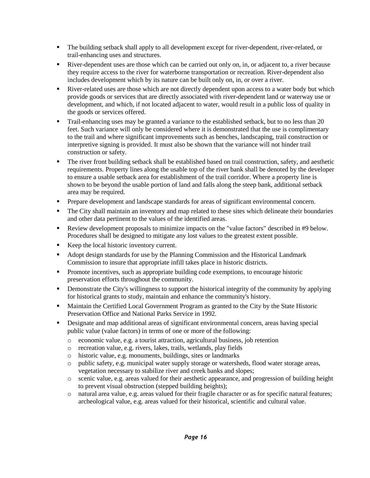- The building setback shall apply to all development except for river-dependent, river-related, or trail-enhancing uses and structures.
- River-dependent uses are those which can be carried out only on, in, or adjacent to, a river because they require access to the river for waterborne transportation or recreation. River-dependent also includes development which by its nature can be built only on, in, or over a river.
- River-related uses are those which are not directly dependent upon access to a water body but which provide goods or services that are directly associated with river-dependent land or waterway use or development, and which, if not located adjacent to water, would result in a public loss of quality in the goods or services offered.
- Trail-enhancing uses may be granted a variance to the established setback, but to no less than 20 feet. Such variance will only be considered where it is demonstrated that the use is complimentary to the trail and where significant improvements such as benches, landscaping, trail construction or interpretive signing is provided. It must also be shown that the variance will not hinder trail construction or safety.
- The river front building setback shall be established based on trail construction, safety, and aesthetic requirements. Property lines along the usable top of the river bank shall be denoted by the developer to ensure a usable setback area for establishment of the trail corridor. Where a property line is shown to be beyond the usable portion of land and falls along the steep bank, additional setback area may be required.
- Prepare development and landscape standards for areas of significant environmental concern.
- The City shall maintain an inventory and map related to these sites which delineate their boundaries and other data pertinent to the values of the identified areas.
- Review development proposals to minimize impacts on the "value factors" described in #9 below. Procedures shall be designed to mitigate any lost values to the greatest extent possible.
- Keep the local historic inventory current.
- Adopt design standards for use by the Planning Commission and the Historical Landmark Commission to insure that appropriate infill takes place in historic districts.
- **Promote incentives, such as appropriate building code exemptions, to encourage historic** preservation efforts throughout the community.
- Demonstrate the City's willingness to support the historical integrity of the community by applying for historical grants to study, maintain and enhance the community's history.
- **Maintain the Certified Local Government Program as granted to the City by the State Historic** Preservation Office and National Parks Service in 1992.
- Designate and map additional areas of significant environmental concern, areas having special public value (value factors) in terms of one or more of the following:
	- o economic value, e.g. a tourist attraction, agricultural business, job retention
	- o recreation value, e.g. rivers, lakes, trails, wetlands, play fields
	- o historic value, e.g. monuments, buildings, sites or landmarks
	- o public safety, e.g. municipal water supply storage or watersheds, flood water storage areas, vegetation necessary to stabilize river and creek banks and slopes;
	- o scenic value, e.g. areas valued for their aesthetic appearance, and progression of building height to prevent visual obstruction (stepped building heights);
	- o natural area value, e.g. areas valued for their fragile character or as for specific natural features; archeological value, e.g. areas valued for their historical, scientific and cultural value.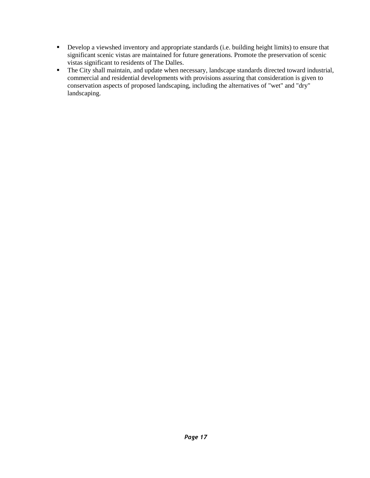- Develop a viewshed inventory and appropriate standards (i.e. building height limits) to ensure that significant scenic vistas are maintained for future generations. Promote the preservation of scenic vistas significant to residents of The Dalles.
- The City shall maintain, and update when necessary, landscape standards directed toward industrial, commercial and residential developments with provisions assuring that consideration is given to conservation aspects of proposed landscaping, including the alternatives of "wet" and "dry" landscaping.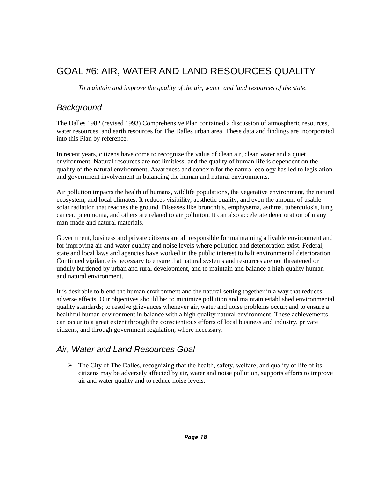# <span id="page-24-0"></span>GOAL #6: AIR, WATER AND LAND RESOURCES QUALITY

*To maintain and improve the quality of the air, water, and land resources of the state.*

#### <span id="page-24-1"></span>*Background*

The Dalles 1982 (revised 1993) Comprehensive Plan contained a discussion of atmospheric resources, water resources, and earth resources for The Dalles urban area. These data and findings are incorporated into this Plan by reference.

In recent years, citizens have come to recognize the value of clean air, clean water and a quiet environment. Natural resources are not limitless, and the quality of human life is dependent on the quality of the natural environment. Awareness and concern for the natural ecology has led to legislation and government involvement in balancing the human and natural environments.

Air pollution impacts the health of humans, wildlife populations, the vegetative environment, the natural ecosystem, and local climates. It reduces visibility, aesthetic quality, and even the amount of usable solar radiation that reaches the ground. Diseases like bronchitis, emphysema, asthma, tuberculosis, lung cancer, pneumonia, and others are related to air pollution. It can also accelerate deterioration of many man-made and natural materials.

Government, business and private citizens are all responsible for maintaining a livable environment and for improving air and water quality and noise levels where pollution and deterioration exist. Federal, state and local laws and agencies have worked in the public interest to halt environmental deterioration. Continued vigilance is necessary to ensure that natural systems and resources are not threatened or unduly burdened by urban and rural development, and to maintain and balance a high quality human and natural environment.

It is desirable to blend the human environment and the natural setting together in a way that reduces adverse effects. Our objectives should be: to minimize pollution and maintain established environmental quality standards; to resolve grievances whenever air, water and noise problems occur; and to ensure a healthful human environment in balance with a high quality natural environment. These achievements can occur to a great extent through the conscientious efforts of local business and industry, private citizens, and through government regulation, where necessary.

### <span id="page-24-2"></span>*Air, Water and Land Resources Goal*

 $\triangleright$  The City of The Dalles, recognizing that the health, safety, welfare, and quality of life of its citizens may be adversely affected by air, water and noise pollution, supports efforts to improve air and water quality and to reduce noise levels.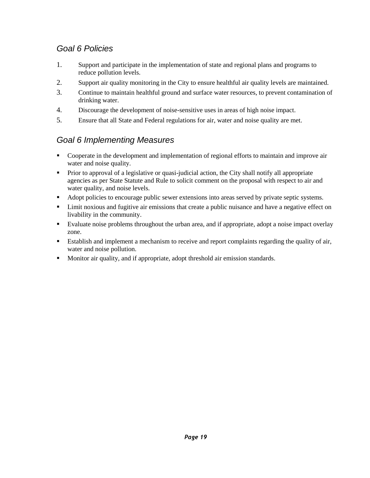### <span id="page-25-0"></span>*Goal 6 Policies*

- 1. Support and participate in the implementation of state and regional plans and programs to reduce pollution levels.
- 2. Support air quality monitoring in the City to ensure healthful air quality levels are maintained.
- 3. Continue to maintain healthful ground and surface water resources, to prevent contamination of drinking water.
- 4. Discourage the development of noise-sensitive uses in areas of high noise impact.
- 5. Ensure that all State and Federal regulations for air, water and noise quality are met.

### <span id="page-25-1"></span>*Goal 6 Implementing Measures*

- Cooperate in the development and implementation of regional efforts to maintain and improve air water and noise quality.
- Prior to approval of a legislative or quasi-judicial action, the City shall notify all appropriate agencies as per State Statute and Rule to solicit comment on the proposal with respect to air and water quality, and noise levels.
- Adopt policies to encourage public sewer extensions into areas served by private septic systems.
- Limit noxious and fugitive air emissions that create a public nuisance and have a negative effect on livability in the community.
- Evaluate noise problems throughout the urban area, and if appropriate, adopt a noise impact overlay zone.
- Establish and implement a mechanism to receive and report complaints regarding the quality of air, water and noise pollution.
- Monitor air quality, and if appropriate, adopt threshold air emission standards.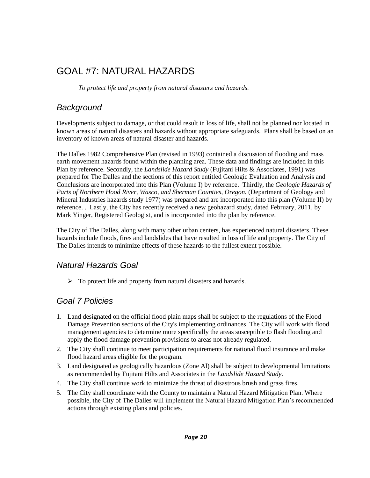# <span id="page-26-0"></span>GOAL #7: NATURAL HAZARDS

*To protect life and property from natural disasters and hazards.*

### <span id="page-26-1"></span>*Background*

Developments subject to damage, or that could result in loss of life, shall not be planned nor located in known areas of natural disasters and hazards without appropriate safeguards. Plans shall be based on an inventory of known areas of natural disaster and hazards.

The Dalles 1982 Comprehensive Plan (revised in 1993) contained a discussion of flooding and mass earth movement hazards found within the planning area. These data and findings are included in this Plan by reference. Secondly, the *Landslide Hazard Study* (Fujitani Hilts & Associates, 1991) was prepared for The Dalles and the sections of this report entitled Geologic Evaluation and Analysis and Conclusions are incorporated into this Plan (Volume I) by reference. Thirdly, the *Geologic Hazards of Parts of Northern Hood River, Wasco, and Sherman Counties, Oregon.* (Department of Geology and Mineral Industries hazards study 1977) was prepared and are incorporated into this plan (Volume II) by reference. . Lastly, the City has recently received a new geohazard study, dated February, 2011, by Mark Yinger, Registered Geologist, and is incorporated into the plan by reference.

The City of The Dalles, along with many other urban centers, has experienced natural disasters. These hazards include floods, fires and landslides that have resulted in loss of life and property. The City of The Dalles intends to minimize effects of these hazards to the fullest extent possible.

#### <span id="page-26-2"></span>*Natural Hazards Goal*

 $\triangleright$  To protect life and property from natural disasters and hazards.

### <span id="page-26-3"></span>*Goal 7 Policies*

- 1. Land designated on the official flood plain maps shall be subject to the regulations of the Flood Damage Prevention sections of the City's implementing ordinances. The City will work with flood management agencies to determine more specifically the areas susceptible to flash flooding and apply the flood damage prevention provisions to areas not already regulated.
- 2. The City shall continue to meet participation requirements for national flood insurance and make flood hazard areas eligible for the program.
- 3. Land designated as geologically hazardous (Zone Al) shall be subject to developmental limitations as recommended by Fujitani Hilts and Associates in the *Landslide Hazard Study*.
- 4. The City shall continue work to minimize the threat of disastrous brush and grass fires.
- 5. The City shall coordinate with the County to maintain a Natural Hazard Mitigation Plan. Where possible*,* the City of The Dalles will implement the Natural Hazard Mitigation Plan's recommended actions through existing plans and policies.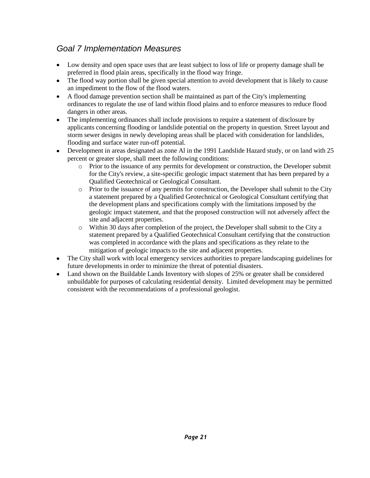### <span id="page-27-0"></span>*Goal 7 Implementation Measures*

- $\bullet$ Low density and open space uses that are least subject to loss of life or property damage shall be preferred in flood plain areas, specifically in the flood way fringe.
- The flood way portion shall be given special attention to avoid development that is likely to cause  $\bullet$ an impediment to the flow of the flood waters.
- A flood damage prevention section shall be maintained as part of the City's implementing  $\bullet$ ordinances to regulate the use of land within flood plains and to enforce measures to reduce flood dangers in other areas.
- The implementing ordinances shall include provisions to require a statement of disclosure by  $\bullet$ applicants concerning flooding or landslide potential on the property in question. Street layout and storm sewer designs in newly developing areas shall be placed with consideration for landslides, flooding and surface water run-off potential.
- Development in areas designated as zone Al in the 1991 Landslide Hazard study, or on land with 25  $\bullet$ percent or greater slope, shall meet the following conditions:
	- o Prior to the issuance of any permits for development or construction, the Developer submit for the City's review, a site-specific geologic impact statement that has been prepared by a Qualified Geotechnical or Geological Consultant.
	- $\circ$  Prior to the issuance of any permits for construction, the Developer shall submit to the City a statement prepared by a Qualified Geotechnical or Geological Consultant certifying that the development plans and specifications comply with the limitations imposed by the geologic impact statement, and that the proposed construction will not adversely affect the site and adjacent properties.
	- o Within 30 days after completion of the project, the Developer shall submit to the City a statement prepared by a Qualified Geotechnical Consultant certifying that the construction was completed in accordance with the plans and specifications as they relate to the mitigation of geologic impacts to the site and adjacent properties.
- The City shall work with local emergency services authorities to prepare landscaping guidelines for  $\bullet$ future developments in order to minimize the threat of potential disasters.
- Land shown on the Buildable Lands Inventory with slopes of 25% or greater shall be considered  $\bullet$ unbuildable for purposes of calculating residential density. Limited development may be permitted consistent with the recommendations of a professional geologist.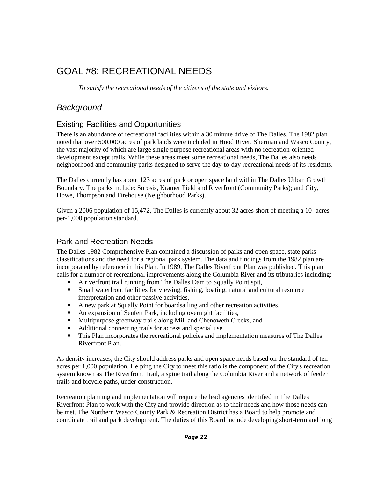# <span id="page-28-0"></span>GOAL #8: RECREATIONAL NEEDS

*To satisfy the recreational needs of the citizens of the state and visitors.*

### <span id="page-28-1"></span>*Background*

#### Existing Facilities and Opportunities

There is an abundance of recreational facilities within a 30 minute drive of The Dalles. The 1982 plan noted that over 500,000 acres of park lands were included in Hood River, Sherman and Wasco County, the vast majority of which are large single purpose recreational areas with no recreation-oriented development except trails. While these areas meet some recreational needs, The Dalles also needs neighborhood and community parks designed to serve the day-to-day recreational needs of its residents.

The Dalles currently has about 123 acres of park or open space land within The Dalles Urban Growth Boundary. The parks include: Sorosis, Kramer Field and Riverfront (Community Parks); and City, Howe, Thompson and Firehouse (Neighborhood Parks).

Given a 2006 population of 15,472, The Dalles is currently about 32 acres short of meeting a 10- acresper-1,000 population standard.

#### Park and Recreation Needs

The Dalles 1982 Comprehensive Plan contained a discussion of parks and open space, state parks classifications and the need for a regional park system. The data and findings from the 1982 plan are incorporated by reference in this Plan. In 1989, The Dalles Riverfront Plan was published. This plan calls for a number of recreational improvements along the Columbia River and its tributaries including:

- A riverfront trail running from The Dalles Dam to Squally Point spit,
- Small waterfront facilities for viewing, fishing, boating, natural and cultural resource interpretation and other passive activities,
- A new park at Squally Point for boardsailing and other recreation activities,
- An expansion of Seufert Park, including overnight facilities,
- Multipurpose greenway trails along Mill and Chenoweth Creeks, and
- Additional connecting trails for access and special use.
- This Plan incorporates the recreational policies and implementation measures of The Dalles Riverfront Plan.

As density increases, the City should address parks and open space needs based on the standard of ten acres per 1,000 population. Helping the City to meet this ratio is the component of the City's recreation system known as The Riverfront Trail, a spine trail along the Columbia River and a network of feeder trails and bicycle paths, under construction.

Recreation planning and implementation will require the lead agencies identified in The Dalles Riverfront Plan to work with the City and provide direction as to their needs and how those needs can be met. The Northern Wasco County Park & Recreation District has a Board to help promote and coordinate trail and park development. The duties of this Board include developing short-term and long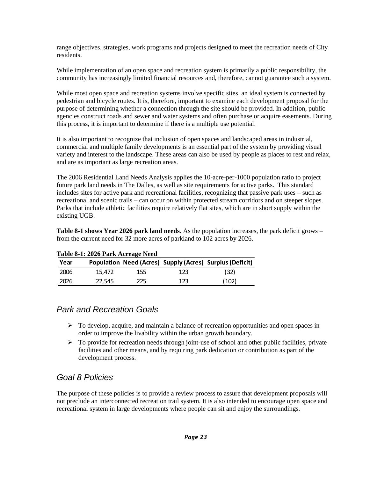range objectives, strategies, work programs and projects designed to meet the recreation needs of City residents.

While implementation of an open space and recreation system is primarily a public responsibility, the community has increasingly limited financial resources and, therefore, cannot guarantee such a system.

While most open space and recreation systems involve specific sites, an ideal system is connected by pedestrian and bicycle routes. It is, therefore, important to examine each development proposal for the purpose of determining whether a connection through the site should be provided. In addition, public agencies construct roads and sewer and water systems and often purchase or acquire easements. During this process, it is important to determine if there is a multiple use potential.

It is also important to recognize that inclusion of open spaces and landscaped areas in industrial, commercial and multiple family developments is an essential part of the system by providing visual variety and interest to the landscape. These areas can also be used by people as places to rest and relax, and are as important as large recreation areas.

The 2006 Residential Land Needs Analysis applies the 10-acre-per-1000 population ratio to project future park land needs in The Dalles, as well as site requirements for active parks. This standard includes sites for active park and recreational facilities, recognizing that passive park uses – such as recreational and scenic trails – can occur on within protected stream corridors and on steeper slopes. Parks that include athletic facilities require relatively flat sites, which are in short supply within the existing UGB.

**Table 8-1 shows Year 2026 park land needs**. As the population increases, the park deficit grows – from the current need for 32 more acres of parkland to 102 acres by 2026.

| Table 8-1: 2026 Park Acreage Need |        |     |     |                                                          |  |  |  |  |
|-----------------------------------|--------|-----|-----|----------------------------------------------------------|--|--|--|--|
| Year                              |        |     |     | Population Need (Acres) Supply (Acres) Surplus (Deficit) |  |  |  |  |
| 2006                              | 15.472 | 155 | 123 | (32)                                                     |  |  |  |  |
| 2026                              | 22.545 | 225 | 123 | (102)                                                    |  |  |  |  |

#### **Table 8-1: 2026 Park Acreage Need**

#### <span id="page-29-0"></span>*Park and Recreation Goals*

- $\triangleright$  To develop, acquire, and maintain a balance of recreation opportunities and open spaces in order to improve the livability within the urban growth boundary.
- $\triangleright$  To provide for recreation needs through joint-use of school and other public facilities, private facilities and other means, and by requiring park dedication or contribution as part of the development process.

### <span id="page-29-1"></span>*Goal 8 Policies*

The purpose of these policies is to provide a review process to assure that development proposals will not preclude an interconnected recreation trail system. It is also intended to encourage open space and recreational system in large developments where people can sit and enjoy the surroundings.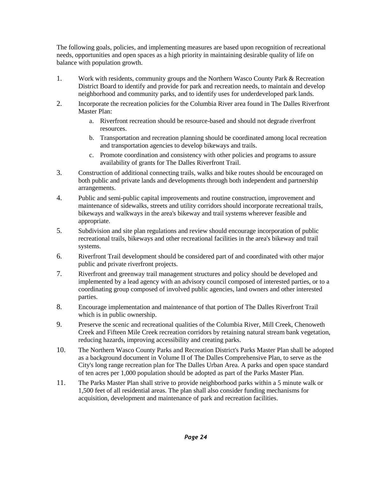The following goals, policies, and implementing measures are based upon recognition of recreational needs, opportunities and open spaces as a high priority in maintaining desirable quality of life on balance with population growth.

- 1. Work with residents, community groups and the Northern Wasco County Park & Recreation District Board to identify and provide for park and recreation needs, to maintain and develop neighborhood and community parks, and to identify uses for underdeveloped park lands.
- 2. Incorporate the recreation policies for the Columbia River area found in The Dalles Riverfront Master Plan:
	- a. Riverfront recreation should be resource-based and should not degrade riverfront resources.
	- b. Transportation and recreation planning should be coordinated among local recreation and transportation agencies to develop bikeways and trails.
	- c. Promote coordination and consistency with other policies and programs to assure availability of grants for The Dalles Riverfront Trail.
- 3. Construction of additional connecting trails, walks and bike routes should be encouraged on both public and private lands and developments through both independent and partnership arrangements.
- 4. Public and semi-public capital improvements and routine construction, improvement and maintenance of sidewalks, streets and utility corridors should incorporate recreational trails, bikeways and walkways in the area's bikeway and trail systems wherever feasible and appropriate.
- 5. Subdivision and site plan regulations and review should encourage incorporation of public recreational trails, bikeways and other recreational facilities in the area's bikeway and trail systems.
- 6. Riverfront Trail development should be considered part of and coordinated with other major public and private riverfront projects.
- 7. Riverfront and greenway trail management structures and policy should be developed and implemented by a lead agency with an advisory council composed of interested parties, or to a coordinating group composed of involved public agencies, land owners and other interested parties.
- 8. Encourage implementation and maintenance of that portion of The Dalles Riverfront Trail which is in public ownership.
- 9. Preserve the scenic and recreational qualities of the Columbia River, Mill Creek, Chenoweth Creek and Fifteen Mile Creek recreation corridors by retaining natural stream bank vegetation, reducing hazards, improving accessibility and creating parks.
- 10. The Northern Wasco County Parks and Recreation District's Parks Master Plan shall be adopted as a background document in Volume II of The Dalles Comprehensive Plan, to serve as the City's long range recreation plan for The Dalles Urban Area. A parks and open space standard of ten acres per 1,000 population should be adopted as part of the Parks Master Plan.
- 11. The Parks Master Plan shall strive to provide neighborhood parks within a 5 minute walk or 1,500 feet of all residential areas. The plan shall also consider funding mechanisms for acquisition, development and maintenance of park and recreation facilities.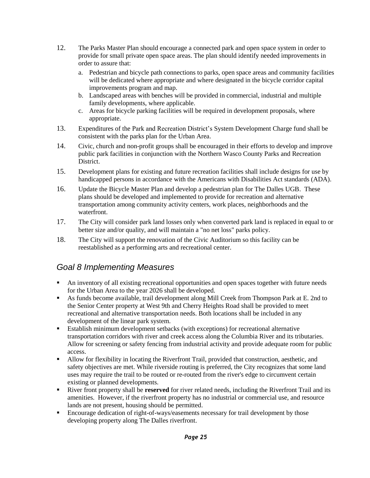- 12. The Parks Master Plan should encourage a connected park and open space system in order to provide for small private open space areas. The plan should identify needed improvements in order to assure that:
	- a. Pedestrian and bicycle path connections to parks, open space areas and community facilities will be dedicated where appropriate and where designated in the bicycle corridor capital improvements program and map.
	- b. Landscaped areas with benches will be provided in commercial, industrial and multiple family developments, where applicable.
	- c. Areas for bicycle parking facilities will be required in development proposals, where appropriate.
- 13. Expenditures of the Park and Recreation District's System Development Charge fund shall be consistent with the parks plan for the Urban Area.
- 14. Civic, church and non-profit groups shall be encouraged in their efforts to develop and improve public park facilities in conjunction with the Northern Wasco County Parks and Recreation District.
- 15. Development plans for existing and future recreation facilities shall include designs for use by handicapped persons in accordance with the Americans with Disabilities Act standards (ADA).
- 16. Update the Bicycle Master Plan and develop a pedestrian plan for The Dalles UGB. These plans should be developed and implemented to provide for recreation and alternative transportation among community activity centers, work places, neighborhoods and the waterfront.
- 17. The City will consider park land losses only when converted park land is replaced in equal to or better size and/or quality, and will maintain a "no net loss" parks policy.
- 18. The City will support the renovation of the Civic Auditorium so this facility can be reestablished as a performing arts and recreational center.

### <span id="page-31-0"></span>*Goal 8 Implementing Measures*

- An inventory of all existing recreational opportunities and open spaces together with future needs for the Urban Area to the year 2026 shall be developed.
- As funds become available, trail development along Mill Creek from Thompson Park at E. 2nd to the Senior Center property at West 9th and Cherry Heights Road shall be provided to meet recreational and alternative transportation needs. Both locations shall be included in any development of the linear park system.
- Establish minimum development setbacks (with exceptions) for recreational alternative transportation corridors with river and creek access along the Columbia River and its tributaries. Allow for screening or safety fencing from industrial activity and provide adequate room for public access.
- Allow for flexibility in locating the Riverfront Trail, provided that construction, aesthetic, and safety objectives are met. While riverside routing is preferred, the City recognizes that some land uses may require the trail to be routed or re-routed from the river's edge to circumvent certain existing or planned developments.
- River front property shall be **reserved** for river related needs, including the Riverfront Trail and its amenities. However, if the riverfront property has no industrial or commercial use, and resource lands are not present, housing should be permitted.
- Encourage dedication of right-of-ways/easements necessary for trail development by those developing property along The Dalles riverfront.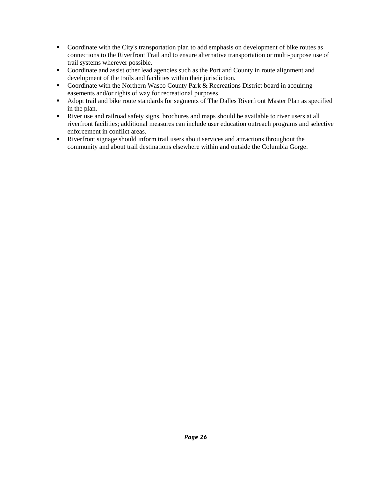- Coordinate with the City's transportation plan to add emphasis on development of bike routes as connections to the Riverfront Trail and to ensure alternative transportation or multi-purpose use of trail systems wherever possible.
- Coordinate and assist other lead agencies such as the Port and County in route alignment and development of the trails and facilities within their jurisdiction.
- Coordinate with the Northern Wasco County Park & Recreations District board in acquiring easements and/or rights of way for recreational purposes.
- Adopt trail and bike route standards for segments of The Dalles Riverfront Master Plan as specified in the plan.
- River use and railroad safety signs, brochures and maps should be available to river users at all riverfront facilities; additional measures can include user education outreach programs and selective enforcement in conflict areas.
- Riverfront signage should inform trail users about services and attractions throughout the community and about trail destinations elsewhere within and outside the Columbia Gorge.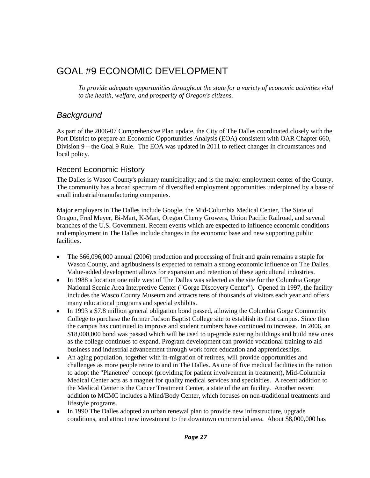# <span id="page-33-0"></span>GOAL #9 ECONOMIC DEVELOPMENT

*To provide adequate opportunities throughout the state for a variety of economic activities vital to the health, welfare, and prosperity of Oregon's citizens.*

### <span id="page-33-1"></span>*Background*

As part of the 2006-07 Comprehensive Plan update, the City of The Dalles coordinated closely with the Port District to prepare an Economic Opportunities Analysis (EOA) consistent with OAR Chapter 660, Division 9 – the Goal 9 Rule. The EOA was updated in 2011 to reflect changes in circumstances and local policy.

#### Recent Economic History

The Dalles is Wasco County's primary municipality; and is the major employment center of the County. The community has a broad spectrum of diversified employment opportunities underpinned by a base of small industrial/manufacturing companies.

Major employers in The Dalles include Google, the Mid-Columbia Medical Center, The State of Oregon, Fred Meyer, Bi-Mart, K-Mart, Oregon Cherry Growers, Union Pacific Railroad, and several branches of the U.S. Government. Recent events which are expected to influence economic conditions and employment in The Dalles include changes in the economic base and new supporting public facilities.

- $\bullet$ The \$66,096,000 annual (2006) production and processing of fruit and grain remains a staple for Wasco County, and agribusiness is expected to remain a strong economic influence on The Dalles. Value-added development allows for expansion and retention of these agricultural industries.
- In 1988 a location one mile west of The Dalles was selected as the site for the Columbia Gorge  $\bullet$ National Scenic Area Interpretive Center ("Gorge Discovery Center"). Opened in 1997, the facility includes the Wasco County Museum and attracts tens of thousands of visitors each year and offers many educational programs and special exhibits.
- In 1993 a \$7.8 million general obligation bond passed, allowing the Columbia Gorge Community  $\bullet$ College to purchase the former Judson Baptist College site to establish its first campus. Since then the campus has continued to improve and student numbers have continued to increase. In 2006, an \$18,000,000 bond was passed which will be used to up-grade existing buildings and build new ones as the college continues to expand. Program development can provide vocational training to aid business and industrial advancement through work force education and apprenticeships.
- An aging population, together with in-migration of retirees, will provide opportunities and  $\bullet$ challenges as more people retire to and in The Dalles. As one of five medical facilities in the nation to adopt the "Planetree" concept (providing for patient involvement in treatment), Mid-Columbia Medical Center acts as a magnet for quality medical services and specialties. A recent addition to the Medical Center is the Cancer Treatment Center, a state of the art facility. Another recent addition to MCMC includes a Mind/Body Center, which focuses on non-traditional treatments and lifestyle programs.
- $\bullet$ In 1990 The Dalles adopted an urban renewal plan to provide new infrastructure, upgrade conditions, and attract new investment to the downtown commercial area. About \$8,000,000 has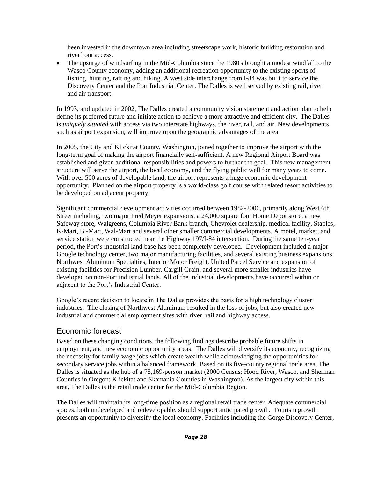been invested in the downtown area including streetscape work, historic building restoration and riverfront access.

The upsurge of windsurfing in the Mid-Columbia since the 1980's brought a modest windfall to the  $\bullet$ Wasco County economy, adding an additional recreation opportunity to the existing sports of fishing, hunting, rafting and hiking. A west side interchange from I-84 was built to service the Discovery Center and the Port Industrial Center. The Dalles is well served by existing rail, river, and air transport.

In 1993, and updated in 2002, The Dalles created a community vision statement and action plan to help define its preferred future and initiate action to achieve a more attractive and efficient city. The Dalles is *uniquely situated* with access via two interstate highways, the river, rail, and air. New developments, such as airport expansion, will improve upon the geographic advantages of the area.

In 2005, the City and Klickitat County, Washington, joined together to improve the airport with the long-term goal of making the airport financially self-sufficient. A new Regional Airport Board was established and given additional responsibilities and powers to further the goal. This new management structure will serve the airport, the local economy, and the flying public well for many years to come. With over 500 acres of developable land, the airport represents a huge economic development opportunity. Planned on the airport property is a world-class golf course with related resort activities to be developed on adjacent property.

Significant commercial development activities occurred between 1982-2006, primarily along West 6th Street including, two major Fred Meyer expansions, a 24,000 square foot Home Depot store, a new Safeway store, Walgreens, Columbia River Bank branch, Chevrolet dealership, medical facility, Staples, K-Mart, Bi-Mart, Wal-Mart and several other smaller commercial developments. A motel, market, and service station were constructed near the Highway 197/I-84 intersection. During the same ten-year period, the Port's industrial land base has been completely developed. Development included a major Google technology center, two major manufacturing facilities, and several existing business expansions. Northwest Aluminum Specialties, Interior Motor Freight, United Parcel Service and expansion of existing facilities for Precision Lumber, Cargill Grain, and several more smaller industries have developed on non-Port industrial lands. All of the industrial developments have occurred within or adjacent to the Port's Industrial Center.

Google's recent decision to locate in The Dalles provides the basis for a high technology cluster industries. The closing of Northwest Aluminum resulted in the loss of jobs, but also created new industrial and commercial employment sites with river, rail and highway access.

#### Economic forecast

Based on these changing conditions, the following findings describe probable future shifts in employment, and new economic opportunity areas. The Dalles will diversify its economy, recognizing the necessity for family-wage jobs which create wealth while acknowledging the opportunities for secondary service jobs within a balanced framework. Based on its five-county regional trade area, The Dalles is situated as the hub of a 75,169-person market (2000 Census: Hood River, Wasco, and Sherman Counties in Oregon; Klickitat and Skamania Counties in Washington). As the largest city within this area, The Dalles is the retail trade center for the Mid-Columbia Region.

The Dalles will maintain its long-time position as a regional retail trade center. Adequate commercial spaces, both undeveloped and redevelopable, should support anticipated growth. Tourism growth presents an opportunity to diversify the local economy. Facilities including the Gorge Discovery Center,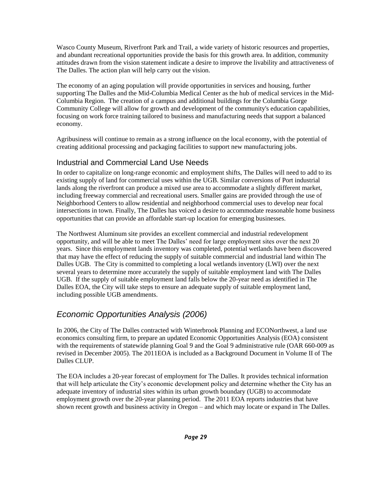Wasco County Museum, Riverfront Park and Trail, a wide variety of historic resources and properties, and abundant recreational opportunities provide the basis for this growth area. In addition, community attitudes drawn from the vision statement indicate a desire to improve the livability and attractiveness of The Dalles. The action plan will help carry out the vision.

The economy of an aging population will provide opportunities in services and housing, further supporting The Dalles and the Mid-Columbia Medical Center as the hub of medical services in the Mid-Columbia Region. The creation of a campus and additional buildings for the Columbia Gorge Community College will allow for growth and development of the community's education capabilities, focusing on work force training tailored to business and manufacturing needs that support a balanced economy.

Agribusiness will continue to remain as a strong influence on the local economy, with the potential of creating additional processing and packaging facilities to support new manufacturing jobs.

### Industrial and Commercial Land Use Needs

In order to capitalize on long-range economic and employment shifts, The Dalles will need to add to its existing supply of land for commercial uses within the UGB. Similar conversions of Port industrial lands along the riverfront can produce a mixed use area to accommodate a slightly different market, including freeway commercial and recreational users. Smaller gains are provided through the use of Neighborhood Centers to allow residential and neighborhood commercial uses to develop near focal intersections in town. Finally, The Dalles has voiced a desire to accommodate reasonable home business opportunities that can provide an affordable start-up location for emerging businesses.

The Northwest Aluminum site provides an excellent commercial and industrial redevelopment opportunity, and will be able to meet The Dalles' need for large employment sites over the next 20 years. Since this employment lands inventory was completed, potential wetlands have been discovered that may have the effect of reducing the supply of suitable commercial and industrial land within The Dalles UGB. The City is committed to completing a local wetlands inventory (LWI) over the next several years to determine more accurately the supply of suitable employment land with The Dalles UGB. If the supply of suitable employment land falls below the 20-year need as identified in The Dalles EOA, the City will take steps to ensure an adequate supply of suitable employment land, including possible UGB amendments.

### <span id="page-35-0"></span>*Economic Opportunities Analysis (2006)*

In 2006, the City of The Dalles contracted with Winterbrook Planning and ECONorthwest, a land use economics consulting firm, to prepare an updated Economic Opportunities Analysis (EOA) consistent with the requirements of statewide planning Goal 9 and the Goal 9 administrative rule (OAR 660-009 as revised in December 2005). The 2011EOA is included as a Background Document in Volume II of The Dalles CLUP.

The EOA includes a 20-year forecast of employment for The Dalles. It provides technical information that will help articulate the City's economic development policy and determine whether the City has an adequate inventory of industrial sites within its urban growth boundary (UGB) to accommodate employment growth over the 20-year planning period. The 2011 EOA reports industries that have shown recent growth and business activity in Oregon – and which may locate or expand in The Dalles.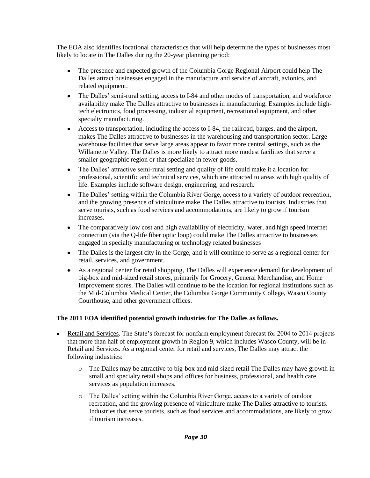The EOA also identifies locational characteristics that will help determine the types of businesses most likely to locate in The Dalles during the 20-year planning period:

- The presence and expected growth of the Columbia Gorge Regional Airport could help The  $\bullet$ Dalles attract businesses engaged in the manufacture and service of aircraft, avionics, and related equipment.
- The Dalles' semi-rural setting, access to I-84 and other modes of transportation, and workforce availability make The Dalles attractive to businesses in manufacturing. Examples include hightech electronics, food processing, industrial equipment, recreational equipment, and other specialty manufacturing.
- Access to transportation, including the access to I-84, the railroad, barges, and the airport, makes The Dalles attractive to businesses in the warehousing and transportation sector. Large warehouse facilities that serve large areas appear to favor more central settings, such as the Willamette Valley. The Dalles is more likely to attract more modest facilities that serve a smaller geographic region or that specialize in fewer goods.
- $\bullet$ The Dalles' attractive semi-rural setting and quality of life could make it a location for professional, scientific and technical services, which are attracted to areas with high quality of life. Examples include software design, engineering, and research.
- $\bullet$ The Dalles' setting within the Columbia River Gorge, access to a variety of outdoor recreation, and the growing presence of viniculture make The Dalles attractive to tourists. Industries that serve tourists, such as food services and accommodations, are likely to grow if tourism increases.
- The comparatively low cost and high availability of electricity, water, and high speed internet  $\bullet$ connection (via the Q-life fiber optic loop) could make The Dalles attractive to businesses engaged in specialty manufacturing or technology related businesses
- $\bullet$ The Dalles is the largest city in the Gorge, and it will continue to serve as a regional center for retail, services, and government.
- As a regional center for retail shopping, The Dalles will experience demand for development of  $\bullet$ big-box and mid-sized retail stores, primarily for Grocery, General Merchandise, and Home Improvement stores. The Dalles will continue to be the location for regional institutions such as the Mid-Columbia Medical Center, the Columbia Gorge Community College, Wasco County Courthouse, and other government offices.

#### **The 2011 EOA identified potential growth industries for The Dalles as follows.**

- Retail and Services. The State's forecast for nonfarm employment forecast for 2004 to 2014 projects  $\bullet$ that more than half of employment growth in Region 9, which includes Wasco County, will be in Retail and Services. As a regional center for retail and services, The Dalles may attract the following industries:
	- o The Dalles may be attractive to big-box and mid-sized retail The Dalles may have growth in small and specialty retail shops and offices for business, professional, and health care services as population increases.
	- o The Dalles' setting within the Columbia River Gorge, access to a variety of outdoor recreation, and the growing presence of viniculture make The Dalles attractive to tourists. Industries that serve tourists, such as food services and accommodations, are likely to grow if tourism increases.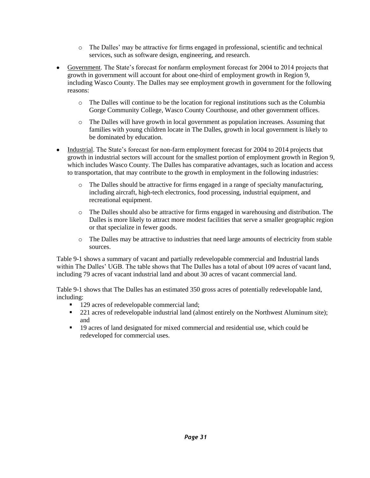- o The Dalles' may be attractive for firms engaged in professional, scientific and technical services, such as software design, engineering, and research.
- Government. The State's forecast for nonfarm employment forecast for 2004 to 2014 projects that  $\bullet$ growth in government will account for about one-third of employment growth in Region 9, including Wasco County. The Dalles may see employment growth in government for the following reasons:
	- o The Dalles will continue to be the location for regional institutions such as the Columbia Gorge Community College, Wasco County Courthouse, and other government offices.
	- o The Dalles will have growth in local government as population increases. Assuming that families with young children locate in The Dalles, growth in local government is likely to be dominated by education.
- Industrial. The State's forecast for non-farm employment forecast for 2004 to 2014 projects that  $\bullet$  . growth in industrial sectors will account for the smallest portion of employment growth in Region 9, which includes Wasco County. The Dalles has comparative advantages, such as location and access to transportation, that may contribute to the growth in employment in the following industries:
	- o The Dalles should be attractive for firms engaged in a range of specialty manufacturing, including aircraft, high-tech electronics, food processing, industrial equipment, and recreational equipment.
	- o The Dalles should also be attractive for firms engaged in warehousing and distribution. The Dalles is more likely to attract more modest facilities that serve a smaller geographic region or that specialize in fewer goods.
	- o The Dalles may be attractive to industries that need large amounts of electricity from stable sources.

Table 9-1 shows a summary of vacant and partially redevelopable commercial and Industrial lands within The Dalles' UGB. The table shows that The Dalles has a total of about 109 acres of vacant land, including 79 acres of vacant industrial land and about 30 acres of vacant commercial land.

Table 9-1 shows that The Dalles has an estimated 350 gross acres of potentially redevelopable land, including:

- 129 acres of redevelopable commercial land;
- 221 acres of redevelopable industrial land (almost entirely on the Northwest Aluminum site); and
- 19 acres of land designated for mixed commercial and residential use, which could be redeveloped for commercial uses.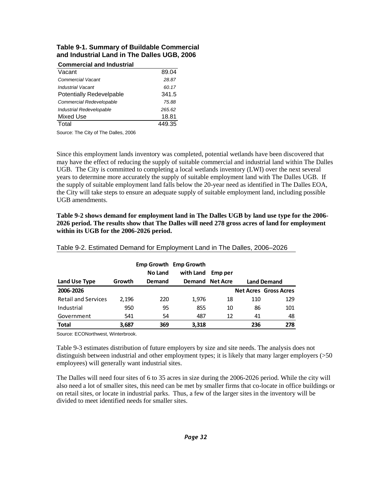#### **Table 9-1. Summary of Buildable Commercial and Industrial Land in The Dalles UGB, 2006**

| <b>Commercial and Industrial</b> |        |
|----------------------------------|--------|
| Vacant                           | 89.04  |
| <b>Commercial Vacant</b>         | 28.87  |
| Industrial Vacant                | 60.17  |
| <b>Potentially Redevelpable</b>  | 341.5  |
| Commercial Redevelopable         | 75.88  |
| Industrial Redevelopable         | 265.62 |
| Mixed Use                        | 18.81  |
| Total                            | 449.35 |

Source: The City of The Dalles, 2006

Since this employment lands inventory was completed, potential wetlands have been discovered that may have the effect of reducing the supply of suitable commercial and industrial land within The Dalles UGB. The City is committed to completing a local wetlands inventory (LWI) over the next several years to determine more accurately the supply of suitable employment land with The Dalles UGB. If the supply of suitable employment land falls below the 20-year need as identified in The Dalles EOA, the City will take steps to ensure an adequate supply of suitable employment land, including possible UGB amendments.

**Table 9-2 shows demand for employment land in The Dalles UGB by land use type for the 2006- 2026 period. The results show that The Dalles will need 278 gross acres of land for employment within its UGB for the 2006-2026 period.** 

| Land Use Type              | Growth | <b>No Land</b><br>Demand | Emp Growth Emp Growth<br>with Land | Emp per<br>Demand Net Acre |     | <b>Land Demand</b>           |
|----------------------------|--------|--------------------------|------------------------------------|----------------------------|-----|------------------------------|
| 2006-2026                  |        |                          |                                    |                            |     | <b>Net Acres Gross Acres</b> |
| <b>Retail and Services</b> | 2,196  | 220                      | 1,976                              | 18                         | 110 | 129                          |
| Industrial                 | 950    | 95                       | 855                                | 10                         | 86  | 101                          |
| Government                 | 541    | 54                       | 487                                | 12                         | 41  | 48                           |
| <b>Total</b>               | 3,687  | 369                      | 3,318                              |                            | 236 | 278                          |

#### Table 9-2. Estimated Demand for Employment Land in The Dalles, 2006–2026

Source: ECONorthwest, Winterbrook.

Table 9-3 estimates distribution of future employers by size and site needs. The analysis does not distinguish between industrial and other employment types; it is likely that many larger employers (>50 employees) will generally want industrial sites.

The Dalles will need four sites of 6 to 35 acres in size during the 2006-2026 period. While the city will also need a lot of smaller sites, this need can be met by smaller firms that co-locate in office buildings or on retail sites, or locate in industrial parks. Thus, a few of the larger sites in the inventory will be divided to meet identified needs for smaller sites.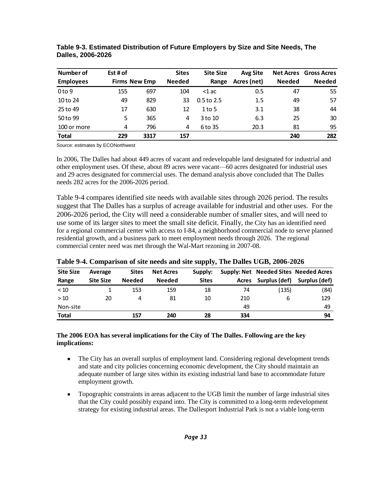| Number of         | Est # of |                      | <b>Sites</b>  | <b>Site Size</b> | <b>Avg Site</b> |               | <b>Net Acres</b> Gross Acres |
|-------------------|----------|----------------------|---------------|------------------|-----------------|---------------|------------------------------|
| <b>Employees</b>  |          | <b>Firms New Emp</b> | <b>Needed</b> | Range            | Acres (net)     | <b>Needed</b> | <b>Needed</b>                |
| 0 <sub>to</sub> 9 | 155      | 697                  | 104           | $<$ 1 ac         | 0.5             | 47            | 55                           |
| 10 to 24          | 49       | 829                  | 33            | $0.5$ to 2.5     | $1.5\,$         | 49            | 57                           |
| 25 to 49          | 17       | 630                  | 12            | $1$ to 5         | 3.1             | 38            | 44                           |
| 50 to 99          | 5        | 365                  | 4             | 3 to 10          | 6.3             | 25            | 30                           |
| 100 or more       | 4        | 796                  | 4             | 6 to 35          | 20.3            | 81            | 95                           |
| <b>Total</b>      | 229      | 3317                 | 157           |                  |                 | 240           | 282                          |

**Table 9-3. Estimated Distribution of Future Employers by Size and Site Needs, The Dalles, 2006-2026** 

Source: estimates by ECONorthwest

In 2006, The Dalles had about 449 acres of vacant and redevelopable land designated for industrial and other employment uses. Of these, about 89 acres were vacant—60 acres designated for industrial uses and 29 acres designated for commercial uses. The demand analysis above concluded that The Dalles needs 282 acres for the 2006-2026 period.

Table 9-4 compares identified site needs with available sites through 2026 period. The results suggest that The Dalles has a surplus of acreage available for industrial and other uses. For the 2006-2026 period, the City will need a considerable number of smaller sites, and will need to use some of its larger sites to meet the small site deficit. Finally, the City has an identified need for a regional commercial center with access to I-84, a neighborhood commercial node to serve planned residential growth, and a business park to meet employment needs through 2026. The regional commercial center need was met through the Wal-Mart rezoning in 2007-08.

| <b>Site Size</b> | Average          | <b>Sites</b>  | <b>Net Acres</b> | Supply:      |       |               | Supply: Net Needed Sites Needed Acres |
|------------------|------------------|---------------|------------------|--------------|-------|---------------|---------------------------------------|
| Range            | <b>Site Size</b> | <b>Needed</b> | <b>Needed</b>    | <b>Sites</b> | Acres | Surplus (def) | Surplus (def)                         |
| < 10             |                  | 153           | 159              | 18           | 74    | (135)         | (84)                                  |
| >10              | 20               | 4             | 81               | 10           | 210   | 6             | 129                                   |
| Non-site         |                  |               |                  |              | 49    |               | 49                                    |
| Total            |                  | 157           | 240              | 28           | 334   |               | 94                                    |

**Table 9-4. Comparison of site needs and site supply, The Dalles UGB, 2006-2026** 

#### **The 2006 EOA has several implications for the City of The Dalles. Following are the key implications:**

- The City has an overall surplus of employment land. Considering regional development trends and state and city policies concerning economic development, the City should maintain an adequate number of large sites within its existing industrial land base to accommodate future employment growth.
- Topographic constraints in areas adjacent to the UGB limit the number of large industrial sites  $\bullet$ that the City could possibly expand into. The City is committed to a long-term redevelopment strategy for existing industrial areas. The Dallesport Industrial Park is not a viable long-term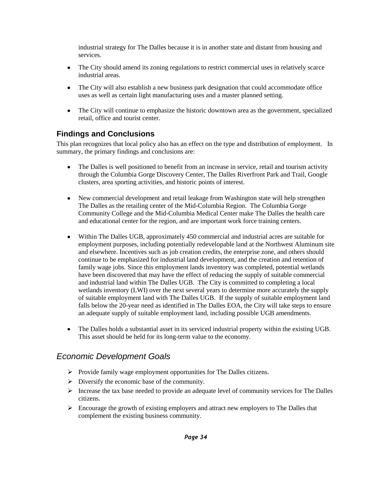industrial strategy for The Dalles because it is in another state and distant from housing and services.

- The City should amend its zoning regulations to restrict commercial uses in relatively scarce  $\bullet$ industrial areas.
- The City will also establish a new business park designation that could accommodate office uses as well as certain light manufacturing uses and a master planned setting.
- The City will continue to emphasize the historic downtown area as the government, specialized  $\bullet$ retail, office and tourist center.

### **Findings and Conclusions**

This plan recognizes that local policy also has an effect on the type and distribution of employment. In summary, the primary findings and conclusions are:

- The Dalles is well positioned to benefit from an increase in service, retail and tourism activity through the Columbia Gorge Discovery Center, The Dalles Riverfront Park and Trail, Google clusters, area sporting activities, and historic points of interest.
- New commercial development and retail leakage from Washington state will help strengthen The Dalles as the retailing center of the Mid-Columbia Region. The Columbia Gorge Community College and the Mid-Columbia Medical Center make The Dalles the health care and educational center for the region, and are important work force training centers.
- Within The Dalles UGB, approximately 450 commercial and industrial acres are suitable for employment purposes, including potentially redevelopable land at the Northwest Aluminum site and elsewhere. Incentives such as job creation credits, the enterprise zone, and others should continue to be emphasized for industrial land development, and the creation and retention of family wage jobs. Since this employment lands inventory was completed, potential wetlands have been discovered that may have the effect of reducing the supply of suitable commercial and industrial land within The Dalles UGB. The City is committed to completing a local wetlands inventory (LWI) over the next several years to determine more accurately the supply of suitable employment land with The Dalles UGB. If the supply of suitable employment land falls below the 20-year need as identified in The Dalles EOA, the City will take steps to ensure an adequate supply of suitable employment land, including possible UGB amendments.
- The Dalles holds a substantial asset in its serviced industrial property within the existing UGB. This asset should be held for its long-term value to the economy.

## *Economic Development Goals*

- $\triangleright$  Provide family wage employment opportunities for The Dalles citizens.
- $\triangleright$  Diversify the economic base of the community.
- Increase the tax base needed to provide an adequate level of community services for The Dalles citizens.
- $\triangleright$  Encourage the growth of existing employers and attract new employers to The Dalles that complement the existing business community.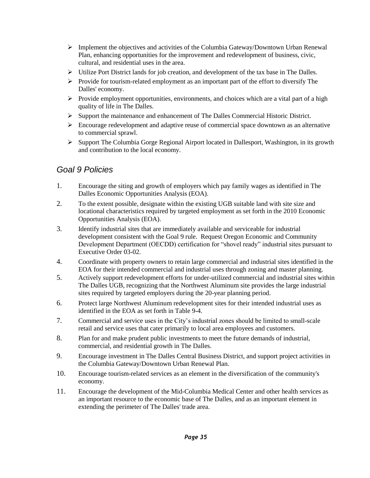- $\triangleright$  Implement the objectives and activities of the Columbia Gateway/Downtown Urban Renewal Plan, enhancing opportunities for the improvement and redevelopment of business, civic, cultural, and residential uses in the area.
- Utilize Port District lands for job creation, and development of the tax base in The Dalles.
- $\triangleright$  Provide for tourism-related employment as an important part of the effort to diversify The Dalles' economy.
- $\triangleright$  Provide employment opportunities, environments, and choices which are a vital part of a high quality of life in The Dalles.
- $\triangleright$  Support the maintenance and enhancement of The Dalles Commercial Historic District.
- $\triangleright$  Encourage redevelopment and adaptive reuse of commercial space downtown as an alternative to commercial sprawl.
- $\triangleright$  Support The Columbia Gorge Regional Airport located in Dallesport, Washington, in its growth and contribution to the local economy.

## *Goal 9 Policies*

- 1. Encourage the siting and growth of employers which pay family wages as identified in The Dalles Economic Opportunities Analysis (EOA).
- 2. To the extent possible, designate within the existing UGB suitable land with site size and locational characteristics required by targeted employment as set forth in the 2010 Economic Opportunities Analysis (EOA).
- 3. Identify industrial sites that are immediately available and serviceable for industrial development consistent with the Goal 9 rule. Request Oregon Economic and Community Development Department (OECDD) certification for "shovel ready" industrial sites pursuant to Executive Order 03-02.
- 4. Coordinate with property owners to retain large commercial and industrial sites identified in the EOA for their intended commercial and industrial uses through zoning and master planning.
- 5. Actively support redevelopment efforts for under-utilized commercial and industrial sites within The Dalles UGB, recognizing that the Northwest Aluminum site provides the large industrial sites required by targeted employers during the 20-year planning period.
- 6. Protect large Northwest Aluminum redevelopment sites for their intended industrial uses as identified in the EOA as set forth in Table 9-4.
- 7. Commercial and service uses in the City's industrial zones should be limited to small-scale retail and service uses that cater primarily to local area employees and customers.
- 8. Plan for and make prudent public investments to meet the future demands of industrial, commercial, and residential growth in The Dalles.
- 9. Encourage investment in The Dalles Central Business District, and support project activities in the Columbia Gateway/Downtown Urban Renewal Plan.
- 10. Encourage tourism-related services as an element in the diversification of the community's economy.
- 11. Encourage the development of the Mid-Columbia Medical Center and other health services as an important resource to the economic base of The Dalles, and as an important element in extending the perimeter of The Dalles' trade area.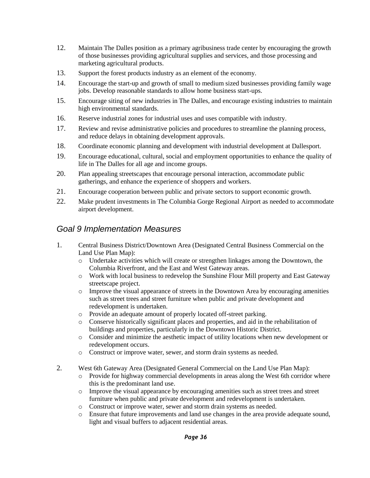- 12. Maintain The Dalles position as a primary agribusiness trade center by encouraging the growth of those businesses providing agricultural supplies and services, and those processing and marketing agricultural products.
- 13. Support the forest products industry as an element of the economy.
- 14. Encourage the start-up and growth of small to medium sized businesses providing family wage jobs. Develop reasonable standards to allow home business start-ups.
- 15. Encourage siting of new industries in The Dalles, and encourage existing industries to maintain high environmental standards.
- 16. Reserve industrial zones for industrial uses and uses compatible with industry.
- 17. Review and revise administrative policies and procedures to streamline the planning process, and reduce delays in obtaining development approvals.
- 18. Coordinate economic planning and development with industrial development at Dallesport.
- 19. Encourage educational, cultural, social and employment opportunities to enhance the quality of life in The Dalles for all age and income groups.
- 20. Plan appealing streetscapes that encourage personal interaction, accommodate public gatherings, and enhance the experience of shoppers and workers.
- 21. Encourage cooperation between public and private sectors to support economic growth.
- 22. Make prudent investments in The Columbia Gorge Regional Airport as needed to accommodate airport development.

## *Goal 9 Implementation Measures*

- 1. Central Business District/Downtown Area (Designated Central Business Commercial on the Land Use Plan Map):
	- o Undertake activities which will create or strengthen linkages among the Downtown, the Columbia Riverfront, and the East and West Gateway areas.
	- o Work with local business to redevelop the Sunshine Flour Mill property and East Gateway streetscape project.
	- o Improve the visual appearance of streets in the Downtown Area by encouraging amenities such as street trees and street furniture when public and private development and redevelopment is undertaken.
	- o Provide an adequate amount of properly located off-street parking.
	- o Conserve historically significant places and properties, and aid in the rehabilitation of buildings and properties, particularly in the Downtown Historic District.
	- o Consider and minimize the aesthetic impact of utility locations when new development or redevelopment occurs.
	- o Construct or improve water, sewer, and storm drain systems as needed.
- 2. West 6th Gateway Area (Designated General Commercial on the Land Use Plan Map):
	- Provide for highway commercial developments in areas along the West 6th corridor where this is the predominant land use.
	- o Improve the visual appearance by encouraging amenities such as street trees and street furniture when public and private development and redevelopment is undertaken.
	- o Construct or improve water, sewer and storm drain systems as needed.
	- o Ensure that future improvements and land use changes in the area provide adequate sound, light and visual buffers to adjacent residential areas.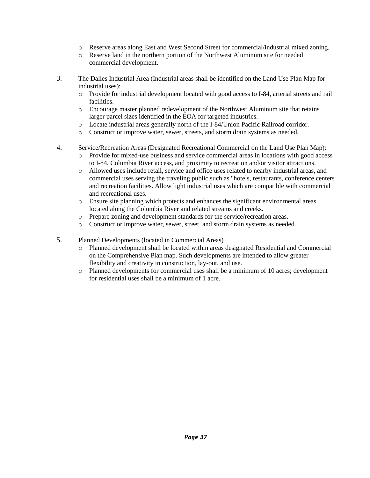- o Reserve areas along East and West Second Street for commercial/industrial mixed zoning.
- o Reserve land in the northern portion of the Northwest Aluminum site for needed commercial development.
- 3. The Dalles Industrial Area (Industrial areas shall be identified on the Land Use Plan Map for industrial uses):
	- o Provide for industrial development located with good access to I-84, arterial streets and rail facilities.
	- o Encourage master planned redevelopment of the Northwest Aluminum site that retains larger parcel sizes identified in the EOA for targeted industries.
	- o Locate industrial areas generally north of the I-84/Union Pacific Railroad corridor.
	- o Construct or improve water, sewer, streets, and storm drain systems as needed.
- 4. Service/Recreation Areas (Designated Recreational Commercial on the Land Use Plan Map):
	- o Provide for mixed-use business and service commercial areas in locations with good access to I-84, Columbia River access, and proximity to recreation and/or visitor attractions.
	- o Allowed uses include retail, service and office uses related to nearby industrial areas, and commercial uses serving the traveling public such as "hotels, restaurants, conference centers and recreation facilities. Allow light industrial uses which are compatible with commercial and recreational uses.
	- o Ensure site planning which protects and enhances the significant environmental areas located along the Columbia River and related streams and creeks.
	- o Prepare zoning and development standards for the service/recreation areas.
	- o Construct or improve water, sewer, street, and storm drain systems as needed.
- 5. Planned Developments (located in Commercial Areas)
	- o Planned development shall be located within areas designated Residential and Commercial on the Comprehensive Plan map. Such developments are intended to allow greater flexibility and creativity in construction, lay-out, and use.
	- o Planned developments for commercial uses shall be a minimum of 10 acres; development for residential uses shall be a minimum of 1 acre.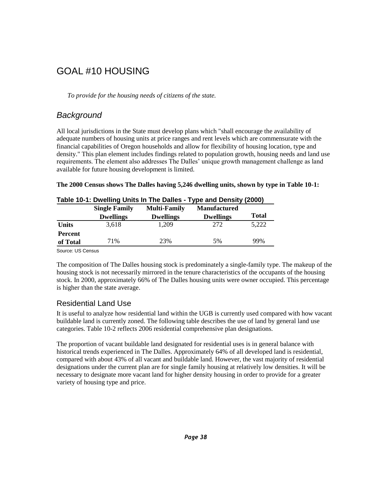# GOAL #10 HOUSING

*To provide for the housing needs of citizens of the state.*

# *Background*

All local jurisdictions in the State must develop plans which "shall encourage the availability of adequate numbers of housing units at price ranges and rent levels which are commensurate with the financial capabilities of Oregon households and allow for flexibility of housing location, type and density." This plan element includes findings related to population growth, housing needs and land use requirements. The element also addresses The Dalles' unique growth management challenge as land available for future housing development is limited.

|  |  |  |  | The 2000 Census shows The Dalles having 5,246 dwelling units, shown by type in Table 10-1: |  |  |  |
|--|--|--|--|--------------------------------------------------------------------------------------------|--|--|--|
|  |  |  |  |                                                                                            |  |  |  |

|                | $19.910$ 10 $11$ $\sigma$ $1100$ $11119$ $\sigma$ $1110$ $\sigma$ $\sigma$ $1100$ | . , po and bonon, leves, |                     |              |
|----------------|-----------------------------------------------------------------------------------|--------------------------|---------------------|--------------|
|                | <b>Single Family</b>                                                              | <b>Multi-Family</b>      | <b>Manufactured</b> |              |
|                | <b>Dwellings</b>                                                                  | <b>Dwellings</b>         | <b>Dwellings</b>    | <b>Total</b> |
| <b>Units</b>   | 3,618                                                                             | 1.209                    | 272                 | 5,222        |
| <b>Percent</b> |                                                                                   |                          |                     |              |
| of Total       | 71%                                                                               | 23%                      | 5%                  | 99%          |
|                |                                                                                   |                          |                     |              |

Source: US Census

The composition of The Dalles housing stock is predominately a single-family type. The makeup of the housing stock is not necessarily mirrored in the tenure characteristics of the occupants of the housing stock. In 2000, approximately 66% of The Dalles housing units were owner occupied. This percentage is higher than the state average.

### Residential Land Use

It is useful to analyze how residential land within the UGB is currently used compared with how vacant buildable land is currently zoned. The following table describes the use of land by general land use categories. Table 10-2 reflects 2006 residential comprehensive plan designations.

The proportion of vacant buildable land designated for residential uses is in general balance with historical trends experienced in The Dalles. Approximately 64% of all developed land is residential, compared with about 43% of all vacant and buildable land. However, the vast majority of residential designations under the current plan are for single family housing at relatively low densities. It will be necessary to designate more vacant land for higher density housing in order to provide for a greater variety of housing type and price.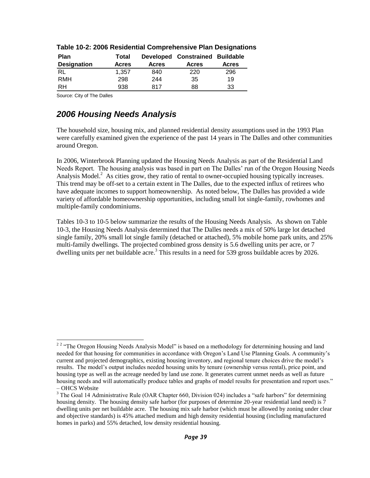| <b>Plan</b>        | <b>Total</b> |              | Developed Constrained Buildable |              |
|--------------------|--------------|--------------|---------------------------------|--------------|
| <b>Designation</b> | <b>Acres</b> | <b>Acres</b> | <b>Acres</b>                    | <b>Acres</b> |
| RL                 | 1.357        | 840          | 220                             | 296          |
| <b>RMH</b>         | 298          | 244          | 35                              | 19           |
| RH                 | 938          | 817          | 88                              | 33           |

#### **Table 10-2: 2006 Residential Comprehensive Plan Designations**

Source: City of The Dalles

## *2006 Housing Needs Analysis*

The household size, housing mix, and planned residential density assumptions used in the 1993 Plan were carefully examined given the experience of the past 14 years in The Dalles and other communities around Oregon.

In 2006, Winterbrook Planning updated the Housing Needs Analysis as part of the Residential Land Needs Report. The housing analysis was based in part on The Dalles' run of the Oregon Housing Needs Analysis Model. $2$  As cities grow, they ratio of rental to owner-occupied housing typically increases. This trend may be off-set to a certain extent in The Dalles, due to the expected influx of retirees who have adequate incomes to support homeownership. As noted below, The Dalles has provided a wide variety of affordable homeownership opportunities, including small lot single-family, rowhomes and multiple-family condominiums.

Tables 10-3 to 10-5 below summarize the results of the Housing Needs Analysis. As shown on Table 10-3, the Housing Needs Analysis determined that The Dalles needs a mix of 50% large lot detached single family, 20% small lot single family (detached or attached), 5% mobile home park units, and 25% multi-family dwellings. The projected combined gross density is 5.6 dwelling units per acre, or 7 dwelling units per net buildable acre.<sup>3</sup> This results in a need for 539 gross buildable acres by 2026.

<sup>&</sup>lt;sup>2 2</sup> "The Oregon Housing Needs Analysis Model" is based on a methodology for determining housing and land needed for that housing for communities in accordance with Oregon's Land Use Planning Goals. A community's current and projected demographics, existing housing inventory, and regional tenure choices drive the model's results. The model's output includes needed housing units by tenure (ownership versus rental), price point, and housing type as well as the acreage needed by land use zone. It generates current unmet needs as well as future housing needs and will automatically produce tables and graphs of model results for presentation and report uses." – OHCS Website

 $3$  The Goal 14 Administrative Rule (OAR Chapter 660, Division 024) includes a "safe harbors" for determining housing density. The housing density safe harbor (for purposes of determine 20-year residential land need) is  $\overline{7}$ dwelling units per net buildable acre. The housing mix safe harbor (which must be allowed by zoning under clear and objective standards) is 45% attached medium and high density residential housing (including manufactured homes in parks) and 55% detached, low density residential housing.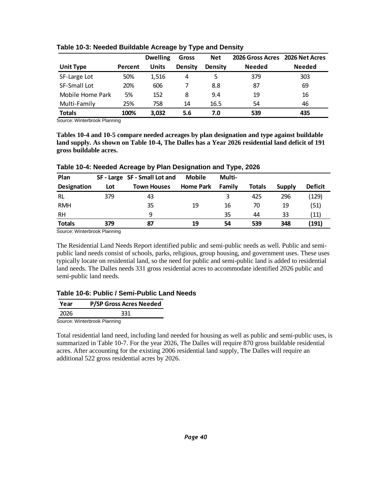|                  |         | <b>Dwelling</b> | Gross          | <b>Net</b>     | 2026 Gross Acres | 2026 Net Acres |
|------------------|---------|-----------------|----------------|----------------|------------------|----------------|
| <b>Unit Type</b> | Percent | <b>Units</b>    | <b>Density</b> | <b>Density</b> | <b>Needed</b>    | <b>Needed</b>  |
| SF-Large Lot     | 50%     | 1,516           | 4              | 5              | 379              | 303            |
| SF-Small Lot     | 20%     | 606             |                | 8.8            | 87               | 69             |
| Mobile Home Park | 5%      | 152             | 8              | 9.4            | 19               | 16             |
| Multi-Family     | 25%     | 758             | 14             | 16.5           | 54               | 46             |
| <b>Totals</b>    | 100%    | 3,032           | 5.6            | 7.0            | 539              | 435            |

#### **Table 10-3: Needed Buildable Acreage by Type and Density**

Source: Winterbrook Planning

**Tables 10-4 and 10-5 compare needed acreages by plan designation and type against buildable land supply. As shown on Table 10-4, The Dalles has a Year 2026 residential land deficit of 191 gross buildable acres.** 

| Plan          |     | SF - Large SF - Small Lot and | <b>Mobile</b>    | Multi- |               |        |                |
|---------------|-----|-------------------------------|------------------|--------|---------------|--------|----------------|
| Designation   | Lot | <b>Town Houses</b>            | <b>Home Park</b> | Family | <b>Totals</b> | Supply | <b>Deficit</b> |
| RL            | 379 | 43                            |                  |        | 425           | 296    | (129)          |
| <b>RMH</b>    |     | 35                            | 19               | 16     | 70            | 19     | (51)           |
| RH            |     | q                             |                  | 35     | 44            | 33     | (11)           |
| <b>Totals</b> | 379 | 87                            | 19               | 54     | 539           | 348    | (191)          |

#### **Table 10-4: Needed Acreage by Plan Designation and Type, 2026**

Source: Winterbrook Planning

The Residential Land Needs Report identified public and semi-public needs as well. Public and semipublic land needs consist of schools, parks, religious, group housing, and government uses. These uses typically locate on residential land, so the need for public and semi-public land is added to residential land needs. The Dalles needs 331 gross residential acres to accommodate identified 2026 public and semi-public land needs.

#### **Table 10-6: Public / Semi-Public Land Needs**

| Year | <b>P/SP Gross Acres Needed</b> |
|------|--------------------------------|
| 2026 | 331                            |
|      | Source: Winterbrook Planning   |

Total residential land need, including land needed for housing as well as public and semi-public uses, is summarized in Table 10-7. For the year 2026, The Dalles will require 870 gross buildable residential acres. After accounting for the existing 2006 residential land supply, The Dalles will require an additional 522 gross residential acres by 2026.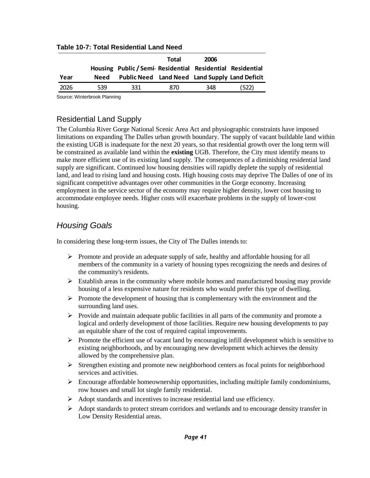|      |      |                                                         | Total | 2006 |      |
|------|------|---------------------------------------------------------|-------|------|------|
|      |      | Housing Public/Semi Residential Residential Residential |       |      |      |
| Year | Need | Public Need Land Need Land Supply Land Deficit          |       |      |      |
| 2026 | 539  | 331                                                     | 870   | 348  | 522) |

#### **Table 10-7: Total Residential Land Need**

Source: Winterbrook Planning

#### Residential Land Supply

The Columbia River Gorge National Scenic Area Act and physiographic constraints have imposed limitations on expanding The Dalles urban growth boundary. The supply of vacant buildable land within the existing UGB is inadequate for the next 20 years, so that residential growth over the long term will be constrained as available land within the **existing** UGB. Therefore, the City must identify means to make more efficient use of its existing land supply. The consequences of a diminishing residential land supply are significant. Continued low housing densities will rapidly deplete the supply of residential land, and lead to rising land and housing costs. High housing costs may deprive The Dalles of one of its significant competitive advantages over other communities in the Gorge economy. Increasing employment in the service sector of the economy may require higher density, lower cost housing to accommodate employee needs. Higher costs will exacerbate problems in the supply of lower-cost housing.

## *Housing Goals*

In considering these long-term issues, the City of The Dalles intends to:

- $\triangleright$  Promote and provide an adequate supply of safe, healthy and affordable housing for all members of the community in a variety of housing types recognizing the needs and desires of the community's residents.
- $\triangleright$  Establish areas in the community where mobile homes and manufactured housing may provide housing of a less expensive nature for residents who would prefer this type of dwelling.
- $\triangleright$  Promote the development of housing that is complementary with the environment and the surrounding land uses.
- $\triangleright$  Provide and maintain adequate public facilities in all parts of the community and promote a logical and orderly development of those facilities. Require new housing developments to pay an equitable share of the cost of required capital improvements.
- $\triangleright$  Promote the efficient use of vacant land by encouraging infill development which is sensitive to existing neighborhoods, and by encouraging new development which achieves the density allowed by the comprehensive plan.
- $\triangleright$  Strengthen existing and promote new neighborhood centers as focal points for neighborhood services and activities.
- $\triangleright$  Encourage affordable homeownership opportunities, including multiple family condominiums, row houses and small lot single family residential.
- Adopt standards and incentives to increase residential land use efficiency.
- Adopt standards to protect stream corridors and wetlands and to encourage density transfer in Low Density Residential areas.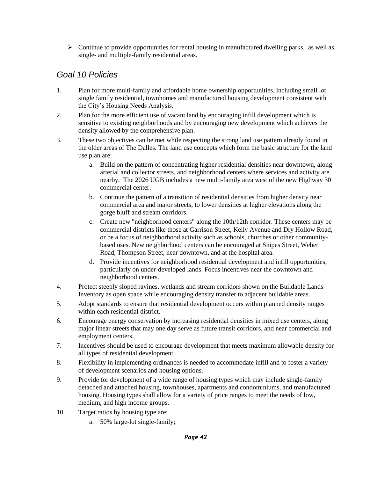$\triangleright$  Continue to provide opportunities for rental housing in manufactured dwelling parks, as well as single- and multiple-family residential areas.

# *Goal 10 Policies*

- 1. Plan for more multi-family and affordable home ownership opportunities, including small lot single family residential, townhomes and manufactured housing development consistent with the City's Housing Needs Analysis.
- 2. Plan for the more efficient use of vacant land by encouraging infill development which is sensitive to existing neighborhoods and by encouraging new development which achieves the density allowed by the comprehensive plan.
- 3. These two objectives can be met while respecting the strong land use pattern already found in the older areas of The Dalles. The land use concepts which form the basic structure for the land use plan are:
	- a. Build on the pattern of concentrating higher residential densities near downtown, along arterial and collector streets, and neighborhood centers where services and activity are nearby. The 2026 UGB includes a new multi-family area west of the new Highway 30 commercial center.
	- b. Continue the pattern of a transition of residential densities from higher density near commercial area and major streets, to lower densities at higher elevations along the gorge bluff and stream corridors.
	- c. Create new "neighborhood centers" along the 10th/12th corridor. These centers may be commercial districts like those at Garrison Street, Kelly Avenue and Dry Hollow Road, or be a focus of neighborhood activity such as schools, churches or other communitybased uses. New neighborhood centers can be encouraged at Snipes Street, Weber Road, Thompson Street, near downtown, and at the hospital area.
	- d. Provide incentives for neighborhood residential development and infill opportunities, particularly on under-developed lands. Focus incentives near the downtown and neighborhood centers.
- 4. Protect steeply sloped ravines, wetlands and stream corridors shown on the Buildable Lands Inventory as open space while encouraging density transfer to adjacent buildable areas.
- 5. Adopt standards to ensure that residential development occurs within planned density ranges within each residential district.
- 6. Encourage energy conservation by increasing residential densities in mixed use centers, along major linear streets that may one day serve as future transit corridors, and near commercial and employment centers.
- 7. Incentives should be used to encourage development that meets maximum allowable density for all types of residential development.
- 8. Flexibility in implementing ordinances is needed to accommodate infill and to foster a variety of development scenarios and housing options.
- 9. Provide for development of a wide range of housing types which may include single-family detached and attached housing, townhouses, apartments and condominiums, and manufactured housing. Housing types shall allow for a variety of price ranges to meet the needs of low, medium, and high income groups.
- 10. Target ratios by housing type are:
	- a. 50% large-lot single-family;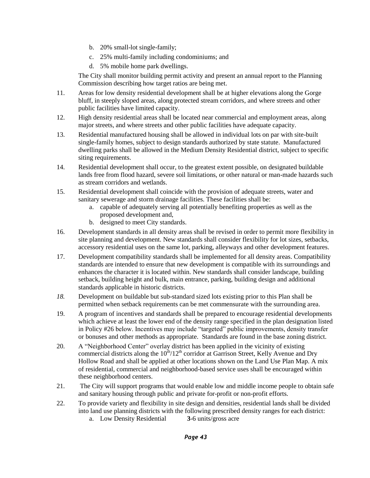- b. 20% small-lot single-family;
- c. 25% multi-family including condominiums; and
- d. 5% mobile home park dwellings.

The City shall monitor building permit activity and present an annual report to the Planning Commission describing how target ratios are being met.

- 11. Areas for low density residential development shall be at higher elevations along the Gorge bluff, in steeply sloped areas, along protected stream corridors, and where streets and other public facilities have limited capacity.
- 12. High density residential areas shall be located near commercial and employment areas, along major streets, and where streets and other public facilities have adequate capacity.
- 13. Residential manufactured housing shall be allowed in individual lots on par with site-built single-family homes, subject to design standards authorized by state statute. Manufactured dwelling parks shall be allowed in the Medium Density Residential district, subject to specific siting requirements.
- 14. Residential development shall occur, to the greatest extent possible, on designated buildable lands free from flood hazard, severe soil limitations, or other natural or man-made hazards such as stream corridors and wetlands.
- 15. Residential development shall coincide with the provision of adequate streets, water and sanitary sewerage and storm drainage facilities. These facilities shall be:
	- a. capable of adequately serving all potentially benefiting properties as well as the proposed development and,
	- b. designed to meet City standards.
- 16. Development standards in all density areas shall be revised in order to permit more flexibility in site planning and development. New standards shall consider flexibility for lot sizes, setbacks, accessory residential uses on the same lot, parking, alleyways and other development features.
- 17. Development compatibility standards shall be implemented for all density areas. Compatibility standards are intended to ensure that new development is compatible with its surroundings and enhances the character it is located within. New standards shall consider landscape, building setback, building height and bulk, main entrance, parking, building design and additional standards applicable in historic districts.
- *18.* Development on buildable but sub-standard sized lots existing prior to this Plan shall be permitted when setback requirements can be met commensurate with the surrounding area.
- 19. A program of incentives and standards shall be prepared to encourage residential developments which achieve at least the lower end of the density range specified in the plan designation listed in Policy #26 below. Incentives may include "targeted" public improvements, density transfer or bonuses and other methods as appropriate. Standards are found in the base zoning district.
- 20. A "Neighborhood Center" overlay district has been applied in the vicinity of existing commercial districts along the  $10^{th}/12^{th}$  corridor at Garrison Street, Kelly Avenue and Dry Hollow Road and shall be applied at other locations shown on the Land Use Plan Map. A mix of residential, commercial and neighborhood-based service uses shall be encouraged within these neighborhood centers.
- 21. The City will support programs that would enable low and middle income people to obtain safe and sanitary housing through public and private for-profit or non-profit efforts.
- 22. To provide variety and flexibility in site design and densities, residential lands shall be divided into land use planning districts with the following prescribed density ranges for each district:
	- a. Low Density Residential **3**-6 units/gross acre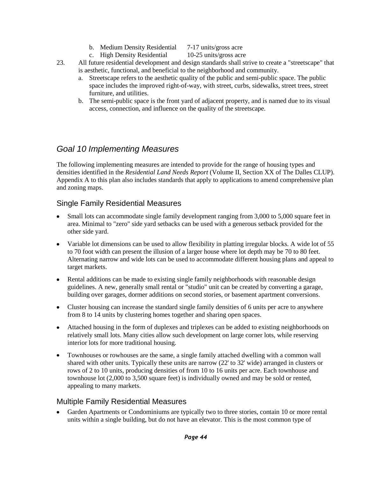- b. Medium Density Residential 7-17 units/gross acre
- c. High Density Residential 10-25 units/gross acre
- 23. All future residential development and design standards shall strive to create a "streetscape" that is aesthetic, functional, and beneficial to the neighborhood and community.
	- a. Streetscape refers to the aesthetic quality of the public and semi-public space. The public space includes the improved right-of-way, with street, curbs, sidewalks, street trees, street furniture, and utilities.
	- b. The semi-public space is the front yard of adjacent property, and is named due to its visual access, connection, and influence on the quality of the streetscape.

## *Goal 10 Implementing Measures*

The following implementing measures are intended to provide for the range of housing types and densities identified in the *Residential Land Needs Report* (Volume II, Section XX of The Dalles CLUP). Appendix A to this plan also includes standards that apply to applications to amend comprehensive plan and zoning maps.

#### Single Family Residential Measures

- Small lots can accommodate single family development ranging from 3,000 to 5,000 square feet in  $\bullet$ area. Minimal to "zero" side yard setbacks can be used with a generous setback provided for the other side yard.
- Variable lot dimensions can be used to allow flexibility in platting irregular blocks. A wide lot of 55  $\bullet$ to 70 foot width can present the illusion of a larger house where lot depth may be 70 to 80 feet. Alternating narrow and wide lots can be used to accommodate different housing plans and appeal to target markets.
- $\bullet$ Rental additions can be made to existing single family neighborhoods with reasonable design guidelines. A new, generally small rental or "studio" unit can be created by converting a garage, building over garages, dormer additions on second stories, or basement apartment conversions.
- Cluster housing can increase the standard single family densities of 6 units per acre to anywhere  $\bullet$ from 8 to 14 units by clustering homes together and sharing open spaces.
- Attached housing in the form of duplexes and triplexes can be added to existing neighborhoods on  $\bullet$ relatively small lots. Many cities allow such development on large corner lots, while reserving interior lots for more traditional housing.
- $\bullet$ Townhouses or rowhouses are the same, a single family attached dwelling with a common wall shared with other units. Typically these units are narrow (22' to 32' wide) arranged in clusters or rows of 2 to 10 units, producing densities of from 10 to 16 units per acre. Each townhouse and townhouse lot (2,000 to 3,500 square feet) is individually owned and may be sold or rented, appealing to many markets.

#### Multiple Family Residential Measures

Garden Apartments or Condominiums are typically two to three stories, contain 10 or more rental units within a single building, but do not have an elevator. This is the most common type of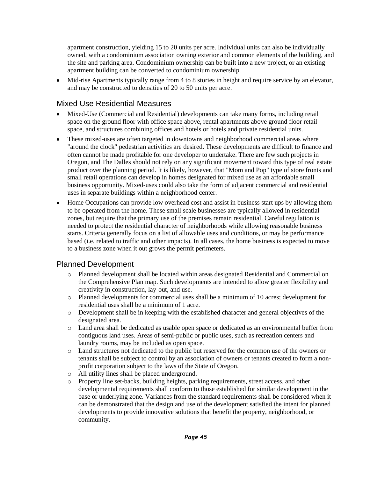apartment construction, yielding 15 to 20 units per acre. Individual units can also be individually owned, with a condominium association owning exterior and common elements of the building, and the site and parking area. Condominium ownership can be built into a new project, or an existing apartment building can be converted to condominium ownership.

Mid-rise Apartments typically range from 4 to 8 stories in height and require service by an elevator,  $\bullet$ and may be constructed to densities of 20 to 50 units per acre.

#### Mixed Use Residential Measures

- Mixed-Use (Commercial and Residential) developments can take many forms, including retail  $\bullet$ space on the ground floor with office space above, rental apartments above ground floor retail space, and structures combining offices and hotels or hotels and private residential units.
- These mixed-uses are often targeted in downtowns and neighborhood commercial areas where  $\bullet$ "around the clock" pedestrian activities are desired. These developments are difficult to finance and often cannot be made profitable for one developer to undertake. There are few such projects in Oregon, and The Dalles should not rely on any significant movement toward this type of real estate product over the planning period. It is likely, however, that "Mom and Pop" type of store fronts and small retail operations can develop in homes designated for mixed use as an affordable small business opportunity. Mixed-uses could also take the form of adjacent commercial and residential uses in separate buildings within a neighborhood center.
- Home Occupations can provide low overhead cost and assist in business start ups by allowing them  $\bullet$ to be operated from the home. These small scale businesses are typically allowed in residential zones, but require that the primary use of the premises remain residential. Careful regulation is needed to protect the residential character of neighborhoods while allowing reasonable business starts. Criteria generally focus on a list of allowable uses and conditions, or may be performance based (i.e. related to traffic and other impacts). In all cases, the home business is expected to move to a business zone when it out grows the permit perimeters.

### Planned Development

- o Planned development shall be located within areas designated Residential and Commercial on the Comprehensive Plan map. Such developments are intended to allow greater flexibility and creativity in construction, lay-out, and use.
- o Planned developments for commercial uses shall be a minimum of 10 acres; development for residential uses shall be a minimum of 1 acre.
- o Development shall be in keeping with the established character and general objectives of the designated area.
- o Land area shall be dedicated as usable open space or dedicated as an environmental buffer from contiguous land uses. Areas of semi-public or public uses, such as recreation centers and laundry rooms, may be included as open space.
- o Land structures not dedicated to the public but reserved for the common use of the owners or tenants shall be subject to control by an association of owners or tenants created to form a nonprofit corporation subject to the laws of the State of Oregon.
- o All utility lines shall be placed underground.
- o Property line set-backs, building heights, parking requirements, street access, and other developmental requirements shall conform to those established for similar development in the base or underlying zone. Variances from the standard requirements shall be considered when it can be demonstrated that the design and use of the development satisfied the intent for planned developments to provide innovative solutions that benefit the property, neighborhood, or community.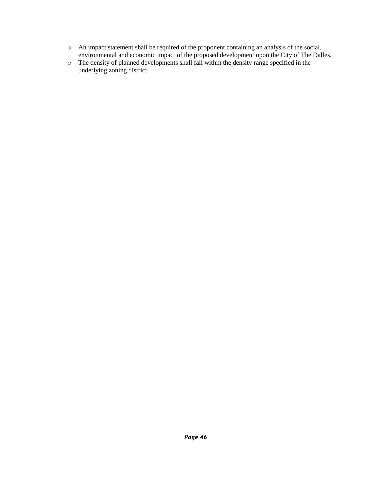- o An impact statement shall be required of the proponent containing an analysis of the social, environmental and economic impact of the proposed development upon the City of The Dalles.
- o The density of planned developments shall fall within the density range specified in the underlying zoning district.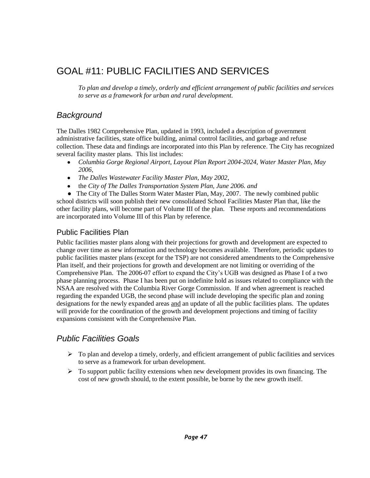# GOAL #11: PUBLIC FACILITIES AND SERVICES

*To plan and develop a timely, orderly and efficient arrangement of public facilities and services to serve as a framework for urban and rural development.*

## *Background*

The Dalles 1982 Comprehensive Plan, updated in 1993, included a description of government administrative facilities, state office building, animal control facilities, and garbage and refuse collection. These data and findings are incorporated into this Plan by reference. The City has recognized several facility master plans. This list includes:

- *Columbia Gorge Regional Airport, Layout Plan Report 2004-2024*, *Water Master Plan, May*   $\bullet$ *2006*,
- *The Dalles Wastewater Facility Master Plan, May 2002*,
- the *City of The Dalles Transportation System Plan, June 2006. and*

• The City of The Dalles Storm Water Master Plan, May, 2007. The newly combined public school districts will soon publish their new consolidated School Facilities Master Plan that, like the other facility plans, will become part of Volume III of the plan. These reports and recommendations are incorporated into Volume III of this Plan by reference.

### Public Facilities Plan

Public facilities master plans along with their projections for growth and development are expected to change over time as new information and technology becomes available. Therefore, periodic updates to public facilities master plans (except for the TSP) are not considered amendments to the Comprehensive Plan itself, and their projections for growth and development are not limiting or overriding of the Comprehensive Plan. The 2006-07 effort to expand the City's UGB was designed as Phase I of a two phase planning process. Phase I has been put on indefinite hold as issues related to compliance with the NSAA are resolved with the Columbia River Gorge Commission. If and when agreement is reached regarding the expanded UGB, the second phase will include developing the specific plan and zoning designations for the newly expanded areas and an update of all the public facilities plans. The updates will provide for the coordination of the growth and development projections and timing of facility expansions consistent with the Comprehensive Plan.

# *Public Facilities Goals*

- $\triangleright$  To plan and develop a timely, orderly, and efficient arrangement of public facilities and services to serve as a framework for urban development.
- $\triangleright$  To support public facility extensions when new development provides its own financing. The cost of new growth should, to the extent possible, be borne by the new growth itself.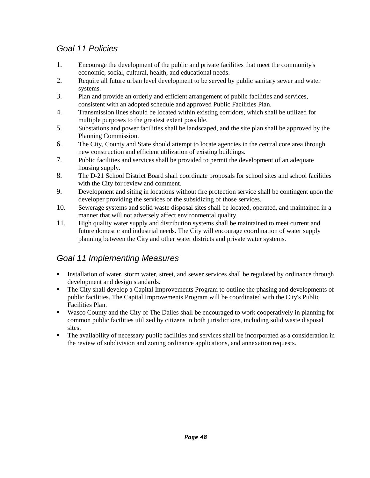# *Goal 11 Policies*

- 1. Encourage the development of the public and private facilities that meet the community's economic, social, cultural, health, and educational needs.
- 2. Require all future urban level development to be served by public sanitary sewer and water systems.
- 3. Plan and provide an orderly and efficient arrangement of public facilities and services, consistent with an adopted schedule and approved Public Facilities Plan.
- 4. Transmission lines should be located within existing corridors, which shall be utilized for multiple purposes to the greatest extent possible.
- 5. Substations and power facilities shall be landscaped, and the site plan shall be approved by the Planning Commission.
- 6. The City, County and State should attempt to locate agencies in the central core area through new construction and efficient utilization of existing buildings.
- 7. Public facilities and services shall be provided to permit the development of an adequate housing supply.
- 8. The D-21 School District Board shall coordinate proposals for school sites and school facilities with the City for review and comment.
- 9. Development and siting in locations without fire protection service shall be contingent upon the developer providing the services or the subsidizing of those services.
- 10. Sewerage systems and solid waste disposal sites shall be located, operated, and maintained in a manner that will not adversely affect environmental quality.
- 11. High quality water supply and distribution systems shall be maintained to meet current and future domestic and industrial needs. The City will encourage coordination of water supply planning between the City and other water districts and private water systems.

# *Goal 11 Implementing Measures*

- Installation of water, storm water, street, and sewer services shall be regulated by ordinance through development and design standards.
- The City shall develop a Capital Improvements Program to outline the phasing and developments of public facilities. The Capital Improvements Program will be coordinated with the City's Public Facilities Plan.
- Wasco County and the City of The Dalles shall be encouraged to work cooperatively in planning for common public facilities utilized by citizens in both jurisdictions, including solid waste disposal sites.
- The availability of necessary public facilities and services shall be incorporated as a consideration in the review of subdivision and zoning ordinance applications, and annexation requests.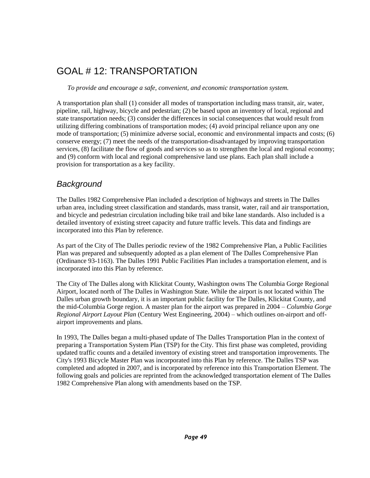# GOAL # 12: TRANSPORTATION

*To provide and encourage a safe, convenient, and economic transportation system.*

A transportation plan shall (1) consider all modes of transportation including mass transit, air, water, pipeline, rail, highway, bicycle and pedestrian; (2) be based upon an inventory of local, regional and state transportation needs; (3) consider the differences in social consequences that would result from utilizing differing combinations of transportation modes; (4) avoid principal reliance upon any one mode of transportation; (5) minimize adverse social, economic and environmental impacts and costs; (6) conserve energy; (7) meet the needs of the transportation-disadvantaged by improving transportation services, (8) facilitate the flow of goods and services so as to strengthen the local and regional economy; and (9) conform with local and regional comprehensive land use plans. Each plan shall include a provision for transportation as a key facility.

## *Background*

The Dalles 1982 Comprehensive Plan included a description of highways and streets in The Dalles urban area, including street classification and standards, mass transit, water, rail and air transportation, and bicycle and pedestrian circulation including bike trail and bike lane standards. Also included is a detailed inventory of existing street capacity and future traffic levels. This data and findings are incorporated into this Plan by reference.

As part of the City of The Dalles periodic review of the 1982 Comprehensive Plan, a Public Facilities Plan was prepared and subsequently adopted as a plan element of The Dalles Comprehensive Plan (Ordinance 93-1163). The Dalles 1991 Public Facilities Plan includes a transportation element, and is incorporated into this Plan by reference.

The City of The Dalles along with Klickitat County, Washington owns The Columbia Gorge Regional Airport, located north of The Dalles in Washington State. While the airport is not located within The Dalles urban growth boundary, it is an important public facility for The Dalles, Klickitat County, and the mid-Columbia Gorge region. A master plan for the airport was prepared in 2004 – *Columbia Gorge Regional Airport Layout Plan* (Century West Engineering, 2004) – which outlines on-airport and offairport improvements and plans.

In 1993, The Dalles began a multi-phased update of The Dalles Transportation Plan in the context of preparing a Transportation System Plan (TSP) for the City. This first phase was completed, providing updated traffic counts and a detailed inventory of existing street and transportation improvements. The City's 1993 Bicycle Master Plan was incorporated into this Plan by reference. The Dalles TSP was completed and adopted in 2007, and is incorporated by reference into this Transportation Element. The following goals and policies are reprinted from the acknowledged transportation element of The Dalles 1982 Comprehensive Plan along with amendments based on the TSP.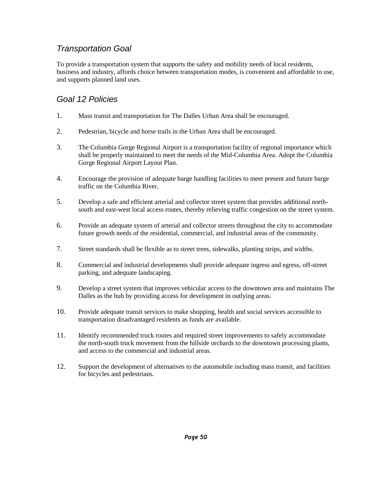## *Transportation Goal*

To provide a transportation system that supports the safety and mobility needs of local residents, business and industry, affords choice between transportation modes, is convenient and affordable to use, and supports planned land uses.

# *Goal 12 Policies*

- 1. Mass transit and transportation for The Dalles Urban Area shall be encouraged.
- 2. Pedestrian, bicycle and horse trails in the Urban Area shall be encouraged.
- 3. The Columbia Gorge Regional Airport is a transportation facility of regional importance which shall be properly maintained to meet the needs of the Mid-Columbia Area. Adopt the Columbia Gorge Regional Airport Layout Plan.
- 4. Encourage the provision of adequate barge handling facilities to meet present and future barge traffic on the Columbia River.
- 5. Develop a safe and efficient arterial and collector street system that provides additional northsouth and east-west local access routes, thereby relieving traffic congestion on the street system.
- 6. Provide an adequate system of arterial and collector streets throughout the city to accommodate future growth needs of the residential, commercial, and industrial areas of the community.
- 7. Street standards shall be flexible as to street trees, sidewalks, planting strips, and widths.
- 8. Commercial and industrial developments shall provide adequate ingress and egress, off-street parking, and adequate landscaping.
- 9. Develop a street system that improves vehicular access to the downtown area and maintains The Dalles as the hub by providing access for development in outlying areas.
- 10. Provide adequate transit services to make shopping, health and social services accessible to transportation disadvantaged residents as funds are available.
- 11. Identify recommended truck routes and required street improvements to safely accommodate the north-south truck movement from the hillside orchards to the downtown processing plants, and access to the commercial and industrial areas.
- 12. Support the development of alternatives to the automobile including mass transit, and facilities for bicycles and pedestrians.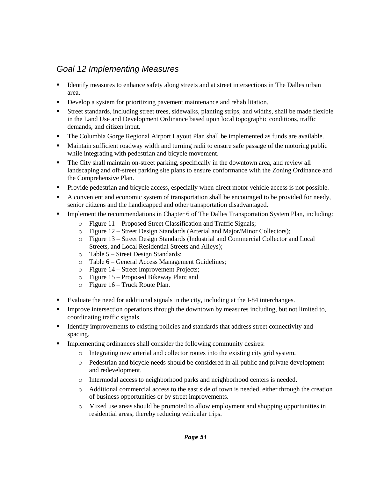## *Goal 12 Implementing Measures*

- **IDENTIFY** measures to enhance safety along streets and at street intersections in The Dalles urban area.
- Develop a system for prioritizing pavement maintenance and rehabilitation.
- Street standards, including street trees, sidewalks, planting strips, and widths, shall be made flexible in the Land Use and Development Ordinance based upon local topographic conditions, traffic demands, and citizen input.
- The Columbia Gorge Regional Airport Layout Plan shall be implemented as funds are available.
- Maintain sufficient roadway width and turning radii to ensure safe passage of the motoring public while integrating with pedestrian and bicycle movement.
- The City shall maintain on-street parking, specifically in the downtown area, and review all landscaping and off-street parking site plans to ensure conformance with the Zoning Ordinance and the Comprehensive Plan.
- **Provide pedestrian and bicycle access, especially when direct motor vehicle access is not possible.**
- A convenient and economic system of transportation shall be encouraged to be provided for needy, senior citizens and the handicapped and other transportation disadvantaged.
- Implement the recommendations in Chapter 6 of The Dalles Transportation System Plan, including:
	- o Figure 11 Proposed Street Classification and Traffic Signals;
	- o Figure 12 Street Design Standards (Arterial and Major/Minor Collectors);
	- o Figure 13 Street Design Standards (Industrial and Commercial Collector and Local Streets, and Local Residential Streets and Alleys);
	- o Table 5 Street Design Standards;
	- o Table 6 General Access Management Guidelines;
	- o Figure 14 Street Improvement Projects;
	- o Figure 15 Proposed Bikeway Plan; and
	- o Figure 16 Truck Route Plan.
- Evaluate the need for additional signals in the city, including at the I-84 interchanges.
- **Improve intersection operations through the downtown by measures including, but not limited to,** coordinating traffic signals.
- Identify improvements to existing policies and standards that address street connectivity and spacing.
- Implementing ordinances shall consider the following community desires:
	- o Integrating new arterial and collector routes into the existing city grid system.
	- o Pedestrian and bicycle needs should be considered in all public and private development and redevelopment.
	- o Intermodal access to neighborhood parks and neighborhood centers is needed.
	- o Additional commercial access to the east side of town is needed, either through the creation of business opportunities or by street improvements.
	- o Mixed use areas should be promoted to allow employment and shopping opportunities in residential areas, thereby reducing vehicular trips.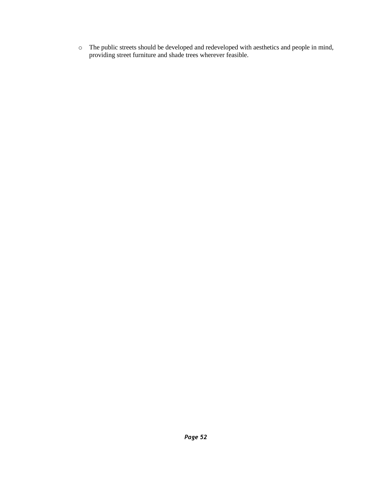o The public streets should be developed and redeveloped with aesthetics and people in mind, providing street furniture and shade trees wherever feasible.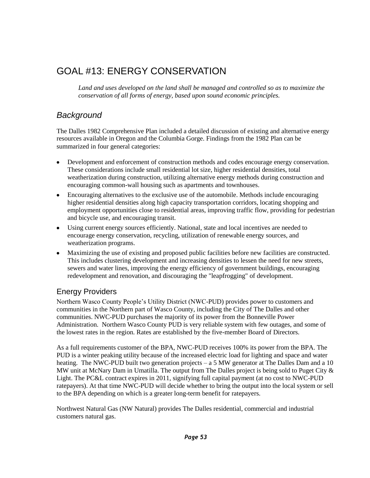# GOAL #13: ENERGY CONSERVATION

*Land and uses developed on the land shall be managed and controlled so as to maximize the conservation of all forms of energy, based upon sound economic principles.*

# *Background*

The Dalles 1982 Comprehensive Plan included a detailed discussion of existing and alternative energy resources available in Oregon and the Columbia Gorge. Findings from the 1982 Plan can be summarized in four general categories:

- $\bullet$ Development and enforcement of construction methods and codes encourage energy conservation. These considerations include small residential lot size, higher residential densities, total weatherization during construction, utilizing alternative energy methods during construction and encouraging common-wall housing such as apartments and townhouses.
- Encouraging alternatives to the exclusive use of the automobile. Methods include encouraging  $\bullet$ higher residential densities along high capacity transportation corridors, locating shopping and employment opportunities close to residential areas, improving traffic flow, providing for pedestrian and bicycle use, and encouraging transit.
- Using current energy sources efficiently. National, state and local incentives are needed to  $\bullet$ encourage energy conservation, recycling, utilization of renewable energy sources, and weatherization programs.
- $\bullet$ Maximizing the use of existing and proposed public facilities before new facilities are constructed. This includes clustering development and increasing densities to lessen the need for new streets, sewers and water lines, improving the energy efficiency of government buildings, encouraging redevelopment and renovation, and discouraging the "leapfrogging" of development.

## Energy Providers

Northern Wasco County People's Utility District (NWC-PUD) provides power to customers and communities in the Northern part of Wasco County, including the City of The Dalles and other communities. NWC-PUD purchases the majority of its power from the Bonneville Power Administration. Northern Wasco County PUD is very reliable system with few outages, and some of the lowest rates in the region. Rates are established by the five-member Board of Directors.

As a full requirements customer of the BPA, NWC-PUD receives 100% its power from the BPA. The PUD is a winter peaking utility because of the increased electric load for lighting and space and water heating. The NWC-PUD built two generation projects – a 5 MW generator at The Dalles Dam and a 10 MW unit at McNary Dam in Umatilla. The output from The Dalles project is being sold to Puget City & Light. The PC&L contract expires in 2011, signifying full capital payment (at no cost to NWC-PUD ratepayers). At that time NWC-PUD will decide whether to bring the output into the local system or sell to the BPA depending on which is a greater long-term benefit for ratepayers.

Northwest Natural Gas (NW Natural) provides The Dalles residential, commercial and industrial customers natural gas.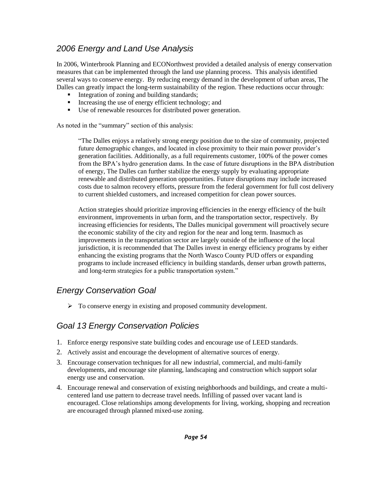# *2006 Energy and Land Use Analysis*

In 2006, Winterbrook Planning and ECONorthwest provided a detailed analysis of energy conservation measures that can be implemented through the land use planning process. This analysis identified several ways to conserve energy. By reducing energy demand in the development of urban areas, The Dalles can greatly impact the long-term sustainability of the region. These reductions occur through:

- Integration of zoning and building standards;
- Increasing the use of energy efficient technology; and
- Use of renewable resources for distributed power generation.

As noted in the "summary" section of this analysis:

―The Dalles enjoys a relatively strong energy position due to the size of community, projected future demographic changes, and located in close proximity to their main power provider's generation facilities. Additionally, as a full requirements customer, 100% of the power comes from the BPA's hydro generation dams. In the case of future disruptions in the BPA distribution of energy, The Dalles can further stabilize the energy supply by evaluating appropriate renewable and distributed generation opportunities. Future disruptions may include increased costs due to salmon recovery efforts, pressure from the federal government for full cost delivery to current shielded customers, and increased competition for clean power sources.

Action strategies should prioritize improving efficiencies in the energy efficiency of the built environment, improvements in urban form, and the transportation sector, respectively. By increasing efficiencies for residents, The Dalles municipal government will proactively secure the economic stability of the city and region for the near and long term. Inasmuch as improvements in the transportation sector are largely outside of the influence of the local jurisdiction, it is recommended that The Dalles invest in energy efficiency programs by either enhancing the existing programs that the North Wasco County PUD offers or expanding programs to include increased efficiency in building standards, denser urban growth patterns, and long-term strategies for a public transportation system."

# *Energy Conservation Goal*

 $\triangleright$  To conserve energy in existing and proposed community development.

# *Goal 13 Energy Conservation Policies*

- 1. Enforce energy responsive state building codes and encourage use of LEED standards.
- 2. Actively assist and encourage the development of alternative sources of energy.
- 3. Encourage conservation techniques for all new industrial, commercial, and multi-family developments, and encourage site planning, landscaping and construction which support solar energy use and conservation.
- 4. Encourage renewal and conservation of existing neighborhoods and buildings, and create a multicentered land use pattern to decrease travel needs. Infilling of passed over vacant land is encouraged. Close relationships among developments for living, working, shopping and recreation are encouraged through planned mixed-use zoning.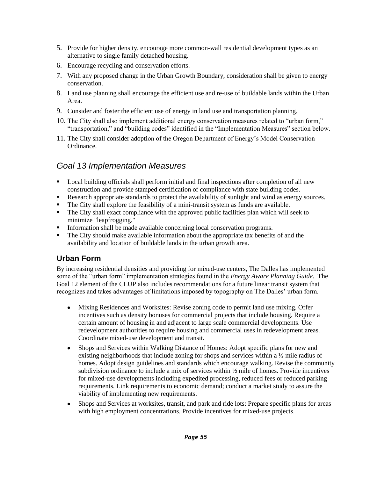- 5. Provide for higher density, encourage more common-wall residential development types as an alternative to single family detached housing.
- 6. Encourage recycling and conservation efforts.
- 7. With any proposed change in the Urban Growth Boundary, consideration shall be given to energy conservation.
- 8. Land use planning shall encourage the efficient use and re-use of buildable lands within the Urban Area.
- 9. Consider and foster the efficient use of energy in land use and transportation planning.
- 10. The City shall also implement additional energy conservation measures related to "urban form," "transportation," and "building codes" identified in the "Implementation Measures" section below.
- 11. The City shall consider adoption of the Oregon Department of Energy's Model Conservation Ordinance.

## *Goal 13 Implementation Measures*

- Local building officials shall perform initial and final inspections after completion of all new construction and provide stamped certification of compliance with state building codes.
- Research appropriate standards to protect the availability of sunlight and wind as energy sources.
- The City shall explore the feasibility of a mini-transit system as funds are available.
- The City shall exact compliance with the approved public facilities plan which will seek to minimize "leapfrogging."
- Information shall be made available concerning local conservation programs.
- The City should make available information about the appropriate tax benefits of and the availability and location of buildable lands in the urban growth area.

### **Urban Form**

By increasing residential densities and providing for mixed-use centers, The Dalles has implemented some of the "urban form" implementation strategies found in the *Energy Aware Planning Guide*. The Goal 12 element of the CLUP also includes recommendations for a future linear transit system that recognizes and takes advantages of limitations imposed by topography on The Dalles' urban form.

- Mixing Residences and Worksites: Revise zoning code to permit land use mixing. Offer incentives such as density bonuses for commercial projects that include housing. Require a certain amount of housing in and adjacent to large scale commercial developments. Use redevelopment authorities to require housing and commercial uses in redevelopment areas. Coordinate mixed-use development and transit.
- Shops and Services within Walking Distance of Homes: Adopt specific plans for new and  $\bullet$ existing neighborhoods that include zoning for shops and services within a ½ mile radius of homes. Adopt design guidelines and standards which encourage walking. Revise the community subdivision ordinance to include a mix of services within ½ mile of homes. Provide incentives for mixed-use developments including expedited processing, reduced fees or reduced parking requirements. Link requirements to economic demand; conduct a market study to assure the viability of implementing new requirements.
- Shops and Services at worksites, transit, and park and ride lots: Prepare specific plans for areas  $\bullet$ with high employment concentrations. Provide incentives for mixed-use projects.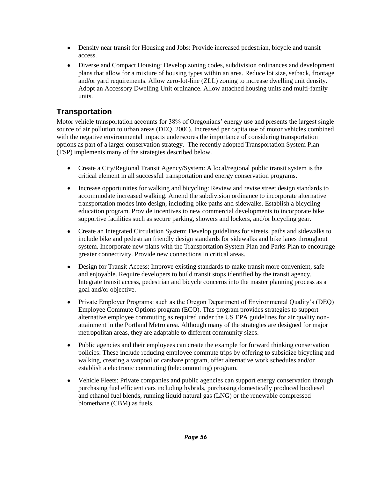- Density near transit for Housing and Jobs: Provide increased pedestrian, bicycle and transit  $\bullet$ access.
- Diverse and Compact Housing: Develop zoning codes, subdivision ordinances and development plans that allow for a mixture of housing types within an area. Reduce lot size, setback, frontage and/or yard requirements. Allow zero-lot-line (ZLL) zoning to increase dwelling unit density. Adopt an Accessory Dwelling Unit ordinance. Allow attached housing units and multi-family units.

## **Transportation**

Motor vehicle transportation accounts for 38% of Oregonians' energy use and presents the largest single source of air pollution to urban areas (DEQ, 2006). Increased per capita use of motor vehicles combined with the negative environmental impacts underscores the importance of considering transportation options as part of a larger conservation strategy. The recently adopted Transportation System Plan (TSP) implements many of the strategies described below.

- Create a City/Regional Transit Agency/System: A local/regional public transit system is the  $\bullet$ critical element in all successful transportation and energy conservation programs.
- Increase opportunities for walking and bicycling: Review and revise street design standards to  $\bullet$ accommodate increased walking. Amend the subdivision ordinance to incorporate alternative transportation modes into design, including bike paths and sidewalks. Establish a bicycling education program. Provide incentives to new commercial developments to incorporate bike supportive facilities such as secure parking, showers and lockers, and/or bicycling gear.
- $\bullet$ Create an Integrated Circulation System: Develop guidelines for streets, paths and sidewalks to include bike and pedestrian friendly design standards for sidewalks and bike lanes throughout system. Incorporate new plans with the Transportation System Plan and Parks Plan to encourage greater connectivity. Provide new connections in critical areas.
- Design for Transit Access: Improve existing standards to make transit more convenient, safe  $\bullet$ and enjoyable. Require developers to build transit stops identified by the transit agency. Integrate transit access, pedestrian and bicycle concerns into the master planning process as a goal and/or objective.
- $\bullet$ Private Employer Programs: such as the Oregon Department of Environmental Quality's (DEQ) Employee Commute Options program (ECO). This program provides strategies to support alternative employee commuting as required under the US EPA guidelines for air quality nonattainment in the Portland Metro area. Although many of the strategies are designed for major metropolitan areas, they are adaptable to different community sizes.
- Public agencies and their employees can create the example for forward thinking conservation policies: These include reducing employee commute trips by offering to subsidize bicycling and walking, creating a vanpool or carshare program, offer alternative work schedules and/or establish a electronic commuting (telecommuting) program.
- Vehicle Fleets: Private companies and public agencies can support energy conservation through  $\bullet$ purchasing fuel efficient cars including hybrids, purchasing domestically produced biodiesel and ethanol fuel blends, running liquid natural gas (LNG) or the renewable compressed biomethane (CBM) as fuels.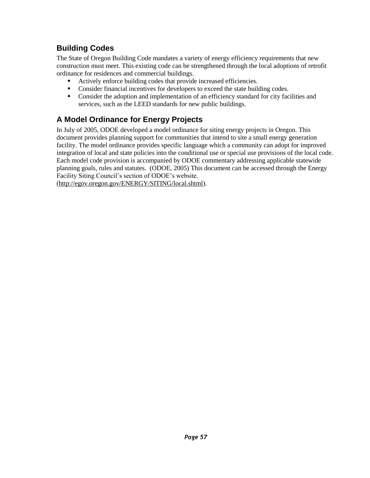# **Building Codes**

The State of Oregon Building Code mandates a variety of energy efficiency requirements that new construction must meet. This existing code can be strengthened through the local adoptions of retrofit ordinance for residences and commercial buildings.

- Actively enforce building codes that provide increased efficiencies.
- Consider financial incentives for developers to exceed the state building codes.
- Consider the adoption and implementation of an efficiency standard for city facilities and services, such as the LEED standards for new public buildings.

# **A Model Ordinance for Energy Projects**

In July of 2005, ODOE developed a model ordinance for siting energy projects in Oregon. This document provides planning support for communities that intend to site a small energy generation facility. The model ordinance provides specific language which a community can adopt for improved integration of local and state policies into the conditional use or special use provisions of the local code. Each model code provision is accompanied by ODOE commentary addressing applicable statewide planning goals, rules and statutes. (ODOE, 2005) This document can be accessed through the Energy Facility Siting Council's section of ODOE's website.

[\(http://egov.oregon.gov/ENERGY/SITING/local.shtml\)](http://egov.oregon.gov/ENERGY/SITING/local.shtml).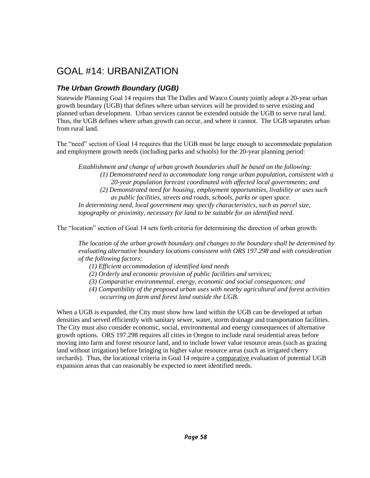# GOAL #14: URBANIZATION

## *The Urban Growth Boundary (UGB)*

Statewide Planning Goal 14 requires that The Dalles and Wasco County jointly adopt a 20-year urban growth boundary (UGB) that defines where urban services will be provided to serve existing and planned urban development. Urban services cannot be extended outside the UGB to serve rural land. Thus, the UGB defines where urban growth can occur, and where it cannot. The UGB separates urban from rural land.

The "need" section of Goal 14 requires that the UGB must be large enough to accommodate population and employment growth needs (including parks and schools) for the 20-year planning period:

*Establishment and change of urban growth boundaries shall be based on the following: (1) Demonstrated need to accommodate long range urban population, consistent with a 20-year population forecast coordinated with affected local governments; and (2) Demonstrated need for housing, employment opportunities, livability or uses such as public facilities, streets and roads, schools, parks or open space. In determining need, local government may specify characteristics, such as parcel size, topography or proximity, necessary for land to be suitable for an identified need.* 

The "location" section of Goal 14 sets forth criteria for determining the direction of urban growth:

*The location of the urban growth boundary and changes to the boundary shall be determined by evaluating alternative boundary locations consistent with ORS 197.298 and with consideration of the following factors:*

- *(1) Efficient accommodation of identified land needs*
- *(2) Orderly and economic provision of public facilities and services;*
- *(3) Comparative environmental, energy, economic and social consequences; and*
- *(4) Compatibility of the proposed urban uses with nearby agricultural and forest activities occurring on farm and forest land outside the UGB.*

When a UGB is expanded, the City must show how land within the UGB can be developed at urban densities and served efficiently with sanitary sewer, water, storm drainage and transportation facilities. The City must also consider economic, social, environmental and energy consequences of alternative growth options. ORS 197.298 requires all cities in Oregon to include rural residential areas before moving into farm and forest resource land, and to include lower value resource areas (such as grazing land without irrigation) before bringing in higher value resource areas (such as irrigated cherry orchards). Thus, the locational criteria in Goal 14 require a comparative evaluation of potential UGB expansion areas that can reasonably be expected to meet identified needs.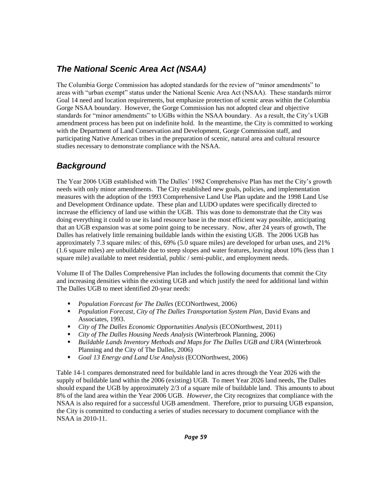# *The National Scenic Area Act (NSAA)*

The Columbia Gorge Commission has adopted standards for the review of "minor amendments" to areas with "urban exempt" status under the National Scenic Area Act (NSAA). These standards mirror Goal 14 need and location requirements, but emphasize protection of scenic areas within the Columbia Gorge NSAA boundary. However, the Gorge Commission has not adopted clear and objective standards for "minor amendments" to UGBs within the NSAA boundary. As a result, the City's UGB amendment process has been put on indefinite hold. In the meantime, the City is committed to working with the Department of Land Conservation and Development, Gorge Commission staff, and participating Native American tribes in the preparation of scenic, natural area and cultural resource studies necessary to demonstrate compliance with the NSAA.

# *Background*

The Year 2006 UGB established with The Dalles' 1982 Comprehensive Plan has met the City's growth needs with only minor amendments. The City established new goals, policies, and implementation measures with the adoption of the 1993 Comprehensive Land Use Plan update and the 1998 Land Use and Development Ordinance update. These plan and LUDO updates were specifically directed to increase the efficiency of land use within the UGB. This was done to demonstrate that the City was doing everything it could to use its land resource base in the most efficient way possible, anticipating that an UGB expansion was at some point going to be necessary. Now, after 24 years of growth, The Dalles has relatively little remaining buildable lands within the existing UGB. The 2006 UGB has approximately 7.3 square miles: of this, 69% (5.0 square miles) are developed for urban uses, and 21% (1.6 square miles) are unbuildable due to steep slopes and water features, leaving about 10% (less than 1 square mile) available to meet residential, public / semi-public, and employment needs.

Volume II of The Dalles Comprehensive Plan includes the following documents that commit the City and increasing densities within the existing UGB and which justify the need for additional land within The Dalles UGB to meet identified 20-year needs:

- *Population Forecast for The Dalles* (ECONorthwest, 2006)
- *Population Forecast, City of The Dalles Transportation System Plan*, David Evans and Associates, 1993.
- *City of The Dalles Economic Opportunities Analysis* (ECONorthwest, 2011)
- *City of The Dalles Housing Needs Analysis* (Winterbrook Planning, 2006)
- *Buildable Lands Inventory Methods and Maps for The Dalles UGB and URA* (Winterbrook Planning and the City of The Dalles, 2006)
- *Goal 13 Energy and Land Use Analysis* (ECONorthwest, 2006)

Table 14-1 compares demonstrated need for buildable land in acres through the Year 2026 with the supply of buildable land within the 2006 (existing) UGB. To meet Year 2026 land needs, The Dalles should expand the UGB by approximately 2/3 of a square mile of buildable land. This amounts to about 8% of the land area within the Year 2006 UGB. *However*, the City recognizes that compliance with the NSAA is also required for a successful UGB amendment. Therefore, prior to pursuing UGB expansion, the City is committed to conducting a series of studies necessary to document compliance with the NSAA in 2010-11.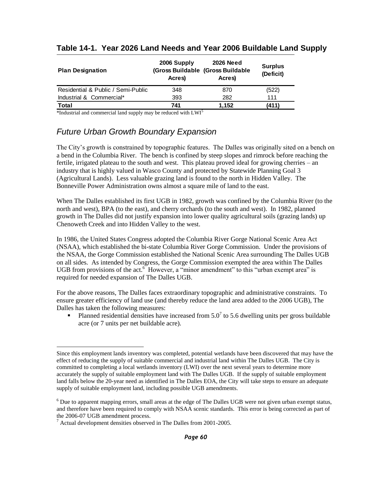| <b>Plan Designation</b>            | 2006 Supply<br>Acres) | <b>2026 Need</b><br>(Gross Buildable (Gross Buildable<br>Acres) | <b>Surplus</b><br>(Deficit) |
|------------------------------------|-----------------------|-----------------------------------------------------------------|-----------------------------|
| Residential & Public / Semi-Public | 348                   | 870                                                             | (522)                       |
| Industrial & Commercial*           | 393                   | 282                                                             | 111                         |
| <b>Total</b>                       | 741                   | 1.152                                                           | (411)                       |

#### **Table 14-1. Year 2026 Land Needs and Year 2006 Buildable Land Supply**

 $*$ Industrial and commercial land supply may be reduced with  $LWI<sup>5</sup>$ 

## *Future Urban Growth Boundary Expansion*

The City's growth is constrained by topographic features. The Dalles was originally sited on a bench on a bend in the Columbia River. The bench is confined by steep slopes and rimrock before reaching the fertile, irrigated plateau to the south and west. This plateau proved ideal for growing cherries – an industry that is highly valued in Wasco County and protected by Statewide Planning Goal 3 (Agricultural Lands). Less valuable grazing land is found to the north in Hidden Valley. The Bonneville Power Administration owns almost a square mile of land to the east.

When The Dalles established its first UGB in 1982, growth was confined by the Columbia River (to the north and west), BPA (to the east), and cherry orchards (to the south and west). In 1982, planned growth in The Dalles did not justify expansion into lower quality agricultural soils (grazing lands) up Chenoweth Creek and into Hidden Valley to the west.

In 1986, the United States Congress adopted the Columbia River Gorge National Scenic Area Act (NSAA), which established the bi-state Columbia River Gorge Commission. Under the provisions of the NSAA, the Gorge Commission established the National Scenic Area surrounding The Dalles UGB on all sides. As intended by Congress, the Gorge Commission exempted the area within The Dalles UGB from provisions of the act.<sup>6</sup> However, a "minor amendment" to this "urban exempt area" is required for needed expansion of The Dalles UGB.

For the above reasons, The Dalles faces extraordinary topographic and administrative constraints. To ensure greater efficiency of land use (and thereby reduce the land area added to the 2006 UGB), The Dalles has taken the following measures:

Planned residential densities have increased from  $5.0<sup>7</sup>$  to 5.6 dwelling units per gross buildable acre (or 7 units per net buildable acre).

 $\overline{a}$ Since this employment lands inventory was completed, potential wetlands have been discovered that may have the effect of reducing the supply of suitable commercial and industrial land within The Dalles UGB. The City is committed to completing a local wetlands inventory (LWI) over the next several years to determine more accurately the supply of suitable employment land with The Dalles UGB. If the supply of suitable employment land falls below the 20-year need as identified in The Dalles EOA, the City will take steps to ensure an adequate supply of suitable employment land, including possible UGB amendments.

<sup>&</sup>lt;sup>6</sup> Due to apparent mapping errors, small areas at the edge of The Dalles UGB were not given urban exempt status, and therefore have been required to comply with NSAA scenic standards. This error is being corrected as part of the 2006-07 UGB amendment process.

 $7$  Actual development densities observed in The Dalles from 2001-2005.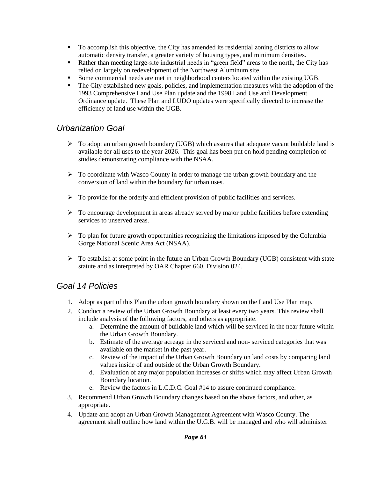- To accomplish this objective, the City has amended its residential zoning districts to allow automatic density transfer, a greater variety of housing types, and minimum densities.
- Rather than meeting large-site industrial needs in "green field" areas to the north, the City has relied on largely on redevelopment of the Northwest Aluminum site.
- Some commercial needs are met in neighborhood centers located within the existing UGB.
- The City established new goals, policies, and implementation measures with the adoption of the 1993 Comprehensive Land Use Plan update and the 1998 Land Use and Development Ordinance update. These Plan and LUDO updates were specifically directed to increase the efficiency of land use within the UGB.

## *Urbanization Goal*

- $\triangleright$  To adopt an urban growth boundary (UGB) which assures that adequate vacant buildable land is available for all uses to the year 2026. This goal has been put on hold pending completion of studies demonstrating compliance with the NSAA.
- $\triangleright$  To coordinate with Wasco County in order to manage the urban growth boundary and the conversion of land within the boundary for urban uses.
- $\triangleright$  To provide for the orderly and efficient provision of public facilities and services.
- $\triangleright$  To encourage development in areas already served by major public facilities before extending services to unserved areas.
- $\triangleright$  To plan for future growth opportunities recognizing the limitations imposed by the Columbia Gorge National Scenic Area Act (NSAA).
- $\triangleright$  To establish at some point in the future an Urban Growth Boundary (UGB) consistent with state statute and as interpreted by OAR Chapter 660, Division 024.

# *Goal 14 Policies*

- 1. Adopt as part of this Plan the urban growth boundary shown on the Land Use Plan map.
- 2. Conduct a review of the Urban Growth Boundary at least every two years. This review shall include analysis of the following factors, and others as appropriate.
	- a. Determine the amount of buildable land which will be serviced in the near future within the Urban Growth Boundary.
	- b. Estimate of the average acreage in the serviced and non- serviced categories that was available on the market in the past year.
	- c. Review of the impact of the Urban Growth Boundary on land costs by comparing land values inside of and outside of the Urban Growth Boundary.
	- d. Evaluation of any major population increases or shifts which may affect Urban Growth Boundary location.
	- e. Review the factors in L.C.D.C. Goal #14 to assure continued compliance.
- 3. Recommend Urban Growth Boundary changes based on the above factors, and other, as appropriate.
- 4. Update and adopt an Urban Growth Management Agreement with Wasco County. The agreement shall outline how land within the U.G.B. will be managed and who will administer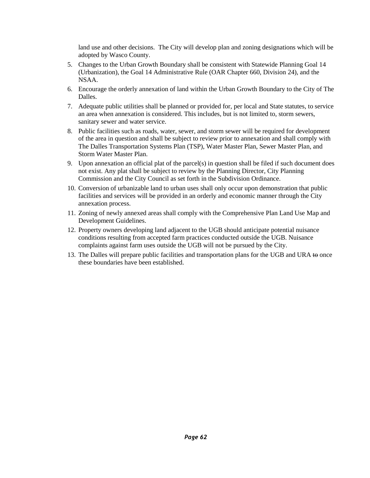land use and other decisions. The City will develop plan and zoning designations which will be adopted by Wasco County.

- 5. Changes to the Urban Growth Boundary shall be consistent with Statewide Planning Goal 14 (Urbanization), the Goal 14 Administrative Rule (OAR Chapter 660, Division 24), and the NSAA.
- 6. Encourage the orderly annexation of land within the Urban Growth Boundary to the City of The Dalles.
- 7. Adequate public utilities shall be planned or provided for, per local and State statutes, to service an area when annexation is considered. This includes, but is not limited to, storm sewers, sanitary sewer and water service.
- 8. Public facilities such as roads, water, sewer, and storm sewer will be required for development of the area in question and shall be subject to review prior to annexation and shall comply with The Dalles Transportation Systems Plan (TSP), Water Master Plan, Sewer Master Plan, and Storm Water Master Plan.
- 9. Upon annexation an official plat of the parcel(s) in question shall be filed if such document does not exist. Any plat shall be subject to review by the Planning Director, City Planning Commission and the City Council as set forth in the Subdivision Ordinance.
- 10. Conversion of urbanizable land to urban uses shall only occur upon demonstration that public facilities and services will be provided in an orderly and economic manner through the City annexation process.
- 11. Zoning of newly annexed areas shall comply with the Comprehensive Plan Land Use Map and Development Guidelines.
- 12. Property owners developing land adjacent to the UGB should anticipate potential nuisance conditions resulting from accepted farm practices conducted outside the UGB. Nuisance complaints against farm uses outside the UGB will not be pursued by the City.
- 13. The Dalles will prepare public facilities and transportation plans for the UGB and URA to once these boundaries have been established.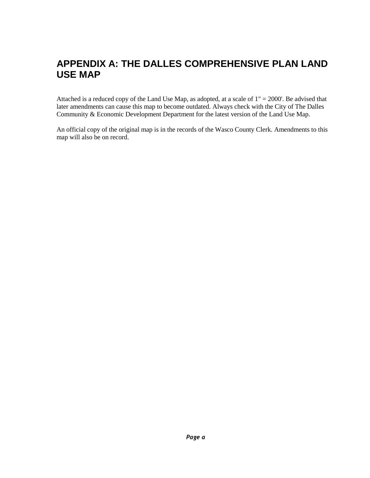# **APPENDIX A: THE DALLES COMPREHENSIVE PLAN LAND USE MAP**

Attached is a reduced copy of the Land Use Map, as adopted, at a scale of  $1" = 2000'$ . Be advised that later amendments can cause this map to become outdated. Always check with the City of The Dalles Community & Economic Development Department for the latest version of the Land Use Map.

An official copy of the original map is in the records of the Wasco County Clerk. Amendments to this map will also be on record.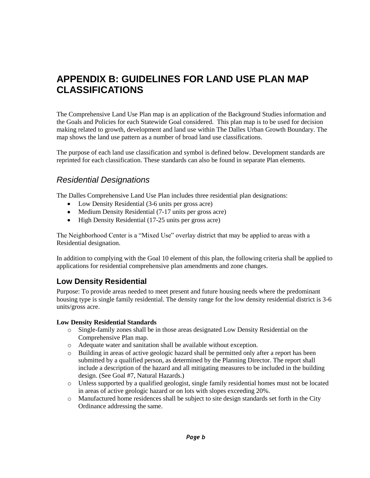# **APPENDIX B: GUIDELINES FOR LAND USE PLAN MAP CLASSIFICATIONS**

The Comprehensive Land Use Plan map is an application of the Background Studies information and the Goals and Policies for each Statewide Goal considered. This plan map is to be used for decision making related to growth, development and land use within The Dalles Urban Growth Boundary. The map shows the land use pattern as a number of broad land use classifications.

The purpose of each land use classification and symbol is defined below. Development standards are reprinted for each classification. These standards can also be found in separate Plan elements.

## *Residential Designations*

The Dalles Comprehensive Land Use Plan includes three residential plan designations:

- Low Density Residential (3-6 units per gross acre)
- Medium Density Residential (7-17 units per gross acre)
- High Density Residential (17-25 units per gross acre)  $\bullet$

The Neighborhood Center is a "Mixed Use" overlay district that may be applied to areas with a Residential designation.

In addition to complying with the Goal 10 element of this plan, the following criteria shall be applied to applications for residential comprehensive plan amendments and zone changes.

### **Low Density Residential**

Purpose: To provide areas needed to meet present and future housing needs where the predominant housing type is single family residential. The density range for the low density residential district is 3-6 units/gross acre.

#### **Low Density Residential Standards**

- o Single-family zones shall be in those areas designated Low Density Residential on the Comprehensive Plan map.
- o Adequate water and sanitation shall be available without exception.
- o Building in areas of active geologic hazard shall be permitted only after a report has been submitted by a qualified person, as determined by the Planning Director. The report shall include a description of the hazard and all mitigating measures to be included in the building design. (See Goal #7, Natural Hazards.)
- o Unless supported by a qualified geologist, single family residential homes must not be located in areas of active geologic hazard or on lots with slopes exceeding 20%.
- o Manufactured home residences shall be subject to site design standards set forth in the City Ordinance addressing the same.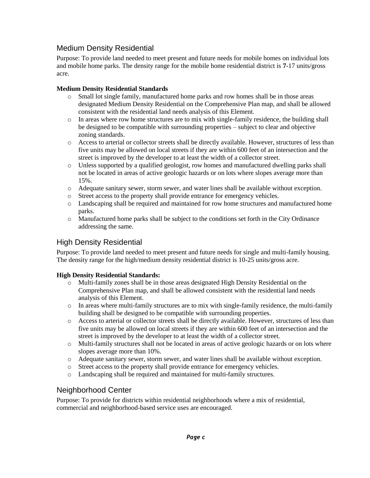#### Medium Density Residential

Purpose: To provide land needed to meet present and future needs for mobile homes on individual lots and mobile home parks. The density range for the mobile home residential district is **7**-17 units/gross acre.

#### **Medium Density Residential Standards**

- o Small lot single family, manufactured home parks and row homes shall be in those areas designated Medium Density Residential on the Comprehensive Plan map, and shall be allowed consistent with the residential land needs analysis of this Element.
- $\circ$  In areas where row home structures are to mix with single-family residence, the building shall be designed to be compatible with surrounding properties – subject to clear and objective zoning standards.
- o Access to arterial or collector streets shall be directly available. However, structures of less than five units may be allowed on local streets if they are within 600 feet of an intersection and the street is improved by the developer to at least the width of a collector street.
- o Unless supported by a qualified geologist, row homes and manufactured dwelling parks shall not be located in areas of active geologic hazards or on lots where slopes average more than 15%.
- o Adequate sanitary sewer, storm sewer, and water lines shall be available without exception.
- o Street access to the property shall provide entrance for emergency vehicles.
- o Landscaping shall be required and maintained for row home structures and manufactured home parks.
- o Manufactured home parks shall be subject to the conditions set forth in the City Ordinance addressing the same.

#### High Density Residential

Purpose: To provide land needed to meet present and future needs for single and multi-family housing. The density range for the high/medium density residential district is 10-25 units/gross acre.

#### **High Density Residential Standards:**

- o Multi-family zones shall be in those areas designated High Density Residential on the Comprehensive Plan map, and shall be allowed consistent with the residential land needs analysis of this Element.
- $\circ$  In areas where multi-family structures are to mix with single-family residence, the multi-family building shall be designed to be compatible with surrounding properties.
- o Access to arterial or collector streets shall be directly available. However, structures of less than five units may be allowed on local streets if they are within 600 feet of an intersection and the street is improved by the developer to at least the width of a collector street.
- o Multi-family structures shall not be located in areas of active geologic hazards or on lots where slopes average more than 10%.
- o Adequate sanitary sewer, storm sewer, and water lines shall be available without exception.
- o Street access to the property shall provide entrance for emergency vehicles.
- o Landscaping shall be required and maintained for multi-family structures.

#### Neighborhood Center

Purpose: To provide for districts within residential neighborhoods where a mix of residential, commercial and neighborhood-based service uses are encouraged.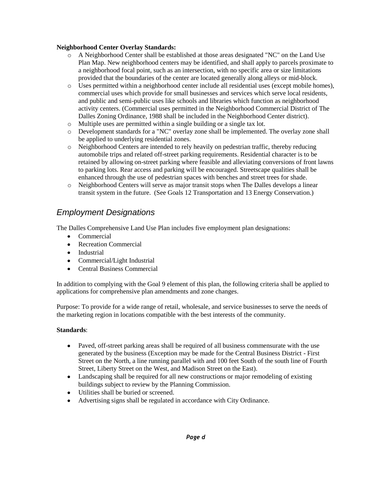### **Neighborhood Center Overlay Standards:**

- o A Neighborhood Center shall be established at those areas designated "NC" on the Land Use Plan Map. New neighborhood centers may be identified, and shall apply to parcels proximate to a neighborhood focal point, such as an intersection, with no specific area or size limitations provided that the boundaries of the center are located generally along alleys or mid-block.
- o Uses permitted within a neighborhood center include all residential uses (except mobile homes), commercial uses which provide for small businesses and services which serve local residents, and public and semi-public uses like schools and libraries which function as neighborhood activity centers. (Commercial uses permitted in the Neighborhood Commercial District of The Dalles Zoning Ordinance, 1988 shall be included in the Neighborhood Center district).
- o Multiple uses are permitted within a single building or a single tax lot.
- o Development standards for a "NC" overlay zone shall be implemented. The overlay zone shall be applied to underlying residential zones.
- o Neighborhood Centers are intended to rely heavily on pedestrian traffic, thereby reducing automobile trips and related off-street parking requirements. Residential character is to be retained by allowing on-street parking where feasible and alleviating conversions of front lawns to parking lots. Rear access and parking will be encouraged. Streetscape qualities shall be enhanced through the use of pedestrian spaces with benches and street trees for shade.
- o Neighborhood Centers will serve as major transit stops when The Dalles develops a linear transit system in the future. (See Goals 12 Transportation and 13 Energy Conservation.)

# *Employment Designations*

The Dalles Comprehensive Land Use Plan includes five employment plan designations:

- $\bullet$ Commercial
- Recreation Commercial
- Industrial
- Commercial/Light Industrial
- Central Business Commercial  $\bullet$

In addition to complying with the Goal 9 element of this plan, the following criteria shall be applied to applications for comprehensive plan amendments and zone changes.

Purpose: To provide for a wide range of retail, wholesale, and service businesses to serve the needs of the marketing region in locations compatible with the best interests of the community.

#### **Standards**:

- $\bullet$ Paved, off-street parking areas shall be required of all business commensurate with the use generated by the business (Exception may be made for the Central Business District - First Street on the North, a line running parallel with and 100 feet South of the south line of Fourth Street, Liberty Street on the West, and Madison Street on the East).
- Landscaping shall be required for all new constructions or major remodeling of existing buildings subject to review by the Planning Commission.
- Utilities shall be buried or screened.  $\bullet$
- Advertising signs shall be regulated in accordance with City Ordinance.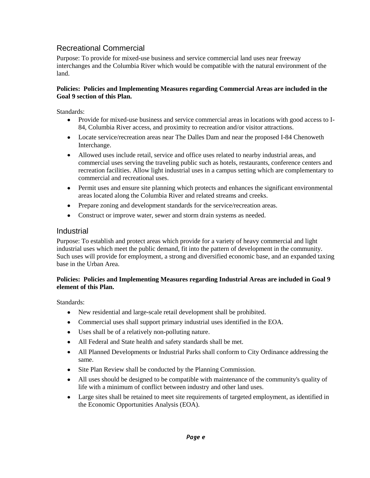### Recreational Commercial

Purpose: To provide for mixed-use business and service commercial land uses near freeway interchanges and the Columbia River which would be compatible with the natural environment of the land.

### **Policies: Policies and Implementing Measures regarding Commercial Areas are included in the Goal 9 section of this Plan.**

Standards:

- Provide for mixed-use business and service commercial areas in locations with good access to I- $\bullet$ 84, Columbia River access, and proximity to recreation and/or visitor attractions.
- Locate service/recreation areas near The Dalles Dam and near the proposed I-84 Chenoweth Interchange.
- Allowed uses include retail, service and office uses related to nearby industrial areas, and  $\bullet$ commercial uses serving the traveling public such as hotels, restaurants, conference centers and recreation facilities. Allow light industrial uses in a campus setting which are complementary to commercial and recreational uses.
- Permit uses and ensure site planning which protects and enhances the significant environmental  $\bullet$ areas located along the Columbia River and related streams and creeks.
- Prepare zoning and development standards for the service/recreation areas.
- Construct or improve water, sewer and storm drain systems as needed.  $\bullet$

### Industrial

Purpose: To establish and protect areas which provide for a variety of heavy commercial and light industrial uses which meet the public demand, fit into the pattern of development in the community. Such uses will provide for employment, a strong and diversified economic base, and an expanded taxing base in the Urban Area.

### **Policies: Policies and Implementing Measures regarding Industrial Areas are included in Goal 9 element of this Plan.**

Standards:

- New residential and large-scale retail development shall be prohibited.
- $\bullet$ Commercial uses shall support primary industrial uses identified in the EOA.
- Uses shall be of a relatively non-polluting nature.
- All Federal and State health and safety standards shall be met.  $\bullet$
- $\bullet$ All Planned Developments or Industrial Parks shall conform to City Ordinance addressing the same.
- Site Plan Review shall be conducted by the Planning Commission.
- All uses should be designed to be compatible with maintenance of the community's quality of  $\bullet$ life with a minimum of conflict between industry and other land uses.
- Large sites shall be retained to meet site requirements of targeted employment, as identified in  $\bullet$ the Economic Opportunities Analysis (EOA).